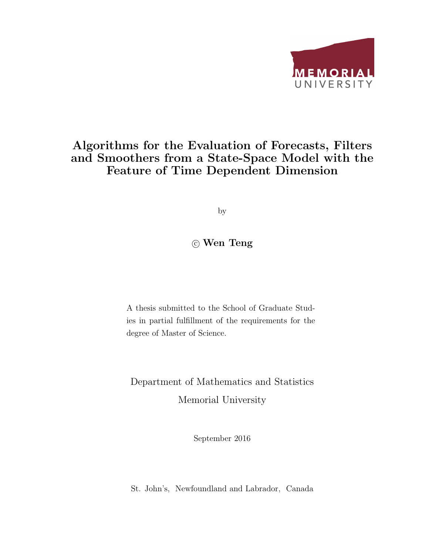

### Algorithms for the Evaluation of Forecasts, Filters and Smoothers from a State-Space Model with the Feature of Time Dependent Dimension

by

### c Wen Teng

A thesis submitted to the School of Graduate Studies in partial fulfillment of the requirements for the degree of Master of Science.

Department of Mathematics and Statistics Memorial University

September 2016

St. John's, Newfoundland and Labrador, Canada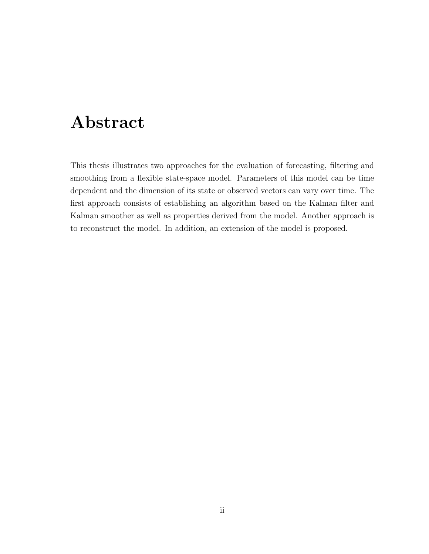# Abstract

This thesis illustrates two approaches for the evaluation of forecasting, filtering and smoothing from a flexible state-space model. Parameters of this model can be time dependent and the dimension of its state or observed vectors can vary over time. The first approach consists of establishing an algorithm based on the Kalman filter and Kalman smoother as well as properties derived from the model. Another approach is to reconstruct the model. In addition, an extension of the model is proposed.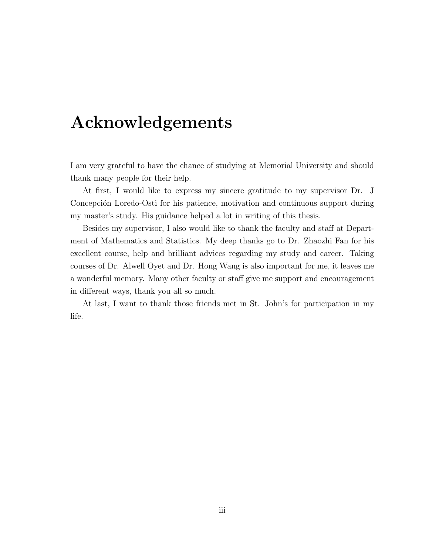# Acknowledgements

I am very grateful to have the chance of studying at Memorial University and should thank many people for their help.

At first, I would like to express my sincere gratitude to my supervisor Dr. J Concepción Loredo-Osti for his patience, motivation and continuous support during my master's study. His guidance helped a lot in writing of this thesis.

Besides my supervisor, I also would like to thank the faculty and staff at Department of Mathematics and Statistics. My deep thanks go to Dr. Zhaozhi Fan for his excellent course, help and brilliant advices regarding my study and career. Taking courses of Dr. Alwell Oyet and Dr. Hong Wang is also important for me, it leaves me a wonderful memory. Many other faculty or staff give me support and encouragement in different ways, thank you all so much.

At last, I want to thank those friends met in St. John's for participation in my life.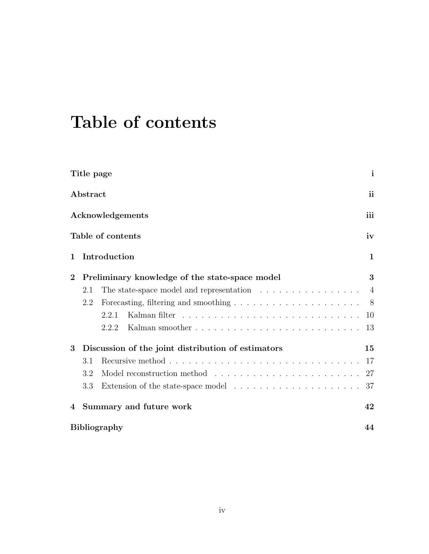# Table of contents

|              | Title page                                         |                                                                                       | $\mathbf{i}$   |  |  |
|--------------|----------------------------------------------------|---------------------------------------------------------------------------------------|----------------|--|--|
|              | Abstract                                           |                                                                                       | $\mathbf{ii}$  |  |  |
|              |                                                    | Acknowledgements                                                                      | iii            |  |  |
|              |                                                    | Table of contents                                                                     | iv             |  |  |
| 1            | Introduction                                       |                                                                                       |                |  |  |
| $\mathbf{2}$ |                                                    | Preliminary knowledge of the state-space model                                        | 3              |  |  |
|              | 2.1                                                | The state-space model and representation $\ldots \ldots \ldots \ldots \ldots$         | $\overline{4}$ |  |  |
|              | 2.2                                                |                                                                                       | 8 <sup>8</sup> |  |  |
|              |                                                    | 2.2.1                                                                                 | 10             |  |  |
|              |                                                    | 2.2.2                                                                                 | 13             |  |  |
| 3            | Discussion of the joint distribution of estimators |                                                                                       |                |  |  |
|              | 3.1                                                |                                                                                       | 17             |  |  |
|              | 3.2                                                |                                                                                       |                |  |  |
|              | 3.3                                                | Extension of the state-space model $\ldots \ldots \ldots \ldots \ldots \ldots \ldots$ | 37             |  |  |
| 4            | Summary and future work                            |                                                                                       |                |  |  |
|              | <b>Bibliography</b>                                |                                                                                       |                |  |  |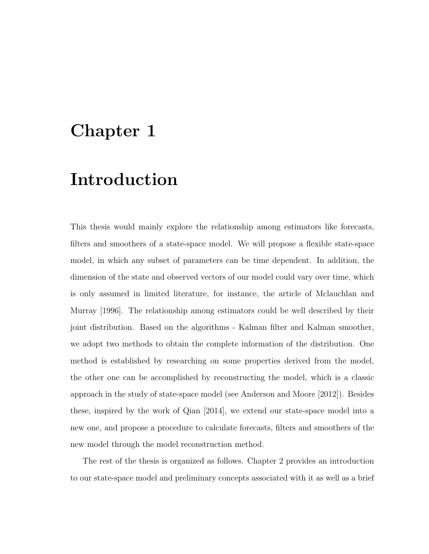## Chapter 1

# Introduction

This thesis would mainly explore the relationship among estimators like forecasts, filters and smoothers of a state-space model. We will propose a flexible state-space model, in which any subset of parameters can be time dependent. In addition, the dimension of the state and observed vectors of our model could vary over time, which is only assumed in limited literature, for instance, the article of Mclauchlan and Murray [1996]. The relationship among estimators could be well described by their joint distribution. Based on the algorithms - Kalman filter and Kalman smoother, we adopt two methods to obtain the complete information of the distribution. One method is established by researching on some properties derived from the model, the other one can be accomplished by reconstructing the model, which is a classic approach in the study of state-space model (see Anderson and Moore [2012]). Besides these, inspired by the work of Qian [2014], we extend our state-space model into a new one, and propose a procedure to calculate forecasts, filters and smoothers of the new model through the model reconstruction method.

The rest of the thesis is organized as follows. Chapter 2 provides an introduction to our state-space model and preliminary concepts associated with it as well as a brief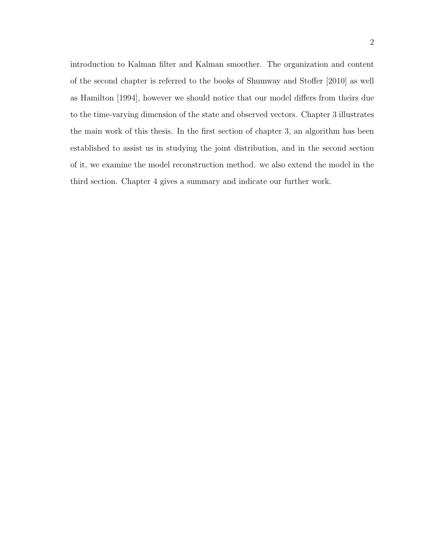introduction to Kalman filter and Kalman smoother. The organization and content of the second chapter is referred to the books of Shumway and Stoffer [2010] as well as Hamilton [1994], however we should notice that our model differs from theirs due to the time-varying dimension of the state and observed vectors. Chapter 3 illustrates the main work of this thesis. In the first section of chapter 3, an algorithm has been established to assist us in studying the joint distribution, and in the second section of it, we examine the model reconstruction method. we also extend the model in the third section. Chapter 4 gives a summary and indicate our further work.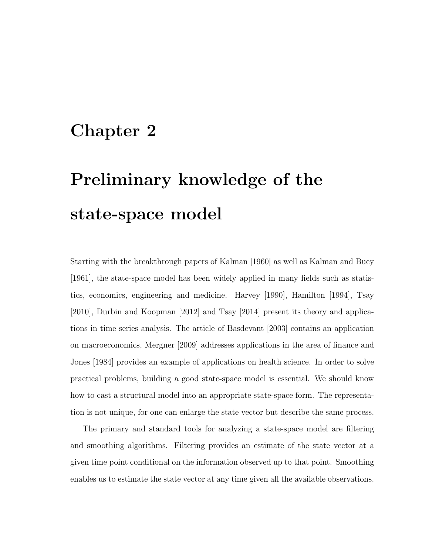## Chapter 2

# Preliminary knowledge of the state-space model

Starting with the breakthrough papers of Kalman [1960] as well as Kalman and Bucy [1961], the state-space model has been widely applied in many fields such as statistics, economics, engineering and medicine. Harvey [1990], Hamilton [1994], Tsay [2010], Durbin and Koopman [2012] and Tsay [2014] present its theory and applications in time series analysis. The article of Basdevant [2003] contains an application on macroeconomics, Mergner [2009] addresses applications in the area of finance and Jones [1984] provides an example of applications on health science. In order to solve practical problems, building a good state-space model is essential. We should know how to cast a structural model into an appropriate state-space form. The representation is not unique, for one can enlarge the state vector but describe the same process.

The primary and standard tools for analyzing a state-space model are filtering and smoothing algorithms. Filtering provides an estimate of the state vector at a given time point conditional on the information observed up to that point. Smoothing enables us to estimate the state vector at any time given all the available observations.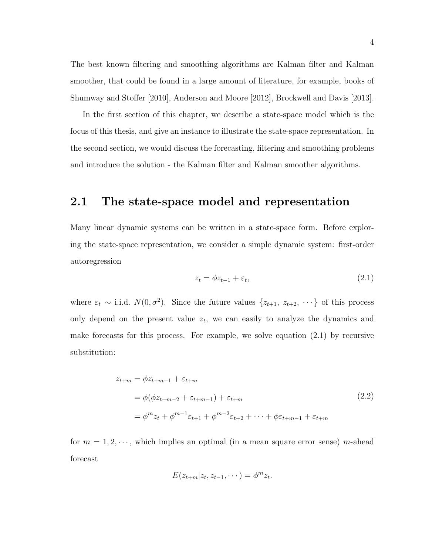The best known filtering and smoothing algorithms are Kalman filter and Kalman smoother, that could be found in a large amount of literature, for example, books of Shumway and Stoffer [2010], Anderson and Moore [2012], Brockwell and Davis [2013].

In the first section of this chapter, we describe a state-space model which is the focus of this thesis, and give an instance to illustrate the state-space representation. In the second section, we would discuss the forecasting, filtering and smoothing problems and introduce the solution - the Kalman filter and Kalman smoother algorithms.

### 2.1 The state-space model and representation

Many linear dynamic systems can be written in a state-space form. Before exploring the state-space representation, we consider a simple dynamic system: first-order autoregression

$$
z_t = \phi z_{t-1} + \varepsilon_t, \tag{2.1}
$$

where  $\varepsilon_t \sim$  i.i.d.  $N(0, \sigma^2)$ . Since the future values  $\{z_{t+1}, z_{t+2}, \cdots\}$  of this process only depend on the present value  $z_t$ , we can easily to analyze the dynamics and make forecasts for this process. For example, we solve equation (2.1) by recursive substitution:

$$
z_{t+m} = \phi z_{t+m-1} + \varepsilon_{t+m}
$$
  
=  $\phi(\phi z_{t+m-2} + \varepsilon_{t+m-1}) + \varepsilon_{t+m}$   
=  $\phi^m z_t + \phi^{m-1} \varepsilon_{t+1} + \phi^{m-2} \varepsilon_{t+2} + \dots + \phi \varepsilon_{t+m-1} + \varepsilon_{t+m}$  (2.2)

for  $m = 1, 2, \dots$ , which implies an optimal (in a mean square error sense) m-ahead forecast

$$
E(z_{t+m}|z_t,z_{t-1},\cdots)=\phi^m z_t.
$$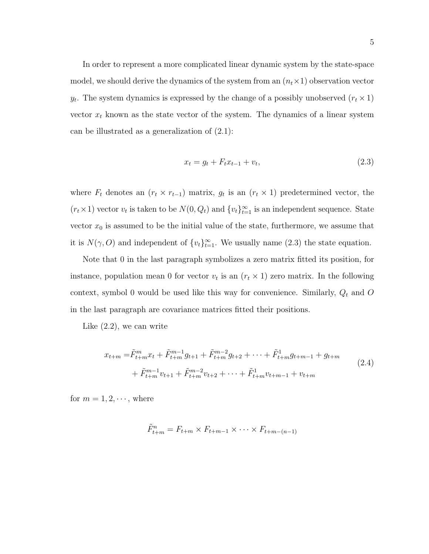In order to represent a more complicated linear dynamic system by the state-space model, we should derive the dynamics of the system from an  $(n_t \times 1)$  observation vector  $y_t$ . The system dynamics is expressed by the change of a possibly unobserved  $(r_t \times 1)$ vector  $x_t$  known as the state vector of the system. The dynamics of a linear system can be illustrated as a generalization of (2.1):

$$
x_t = g_t + F_t x_{t-1} + v_t,\tag{2.3}
$$

where  $F_t$  denotes an  $(r_t \times r_{t-1})$  matrix,  $g_t$  is an  $(r_t \times 1)$  predetermined vector, the  $(r_t \times 1)$  vector  $v_t$  is taken to be  $N(0, Q_t)$  and  $\{v_t\}_{t=1}^{\infty}$  is an independent sequence. State vector  $x_0$  is assumed to be the initial value of the state, furthermore, we assume that it is  $N(\gamma, O)$  and independent of  $\{v_t\}_{t=1}^{\infty}$ . We usually name (2.3) the state equation.

Note that 0 in the last paragraph symbolizes a zero matrix fitted its position, for instance, population mean 0 for vector  $v_t$  is an  $(r_t \times 1)$  zero matrix. In the following context, symbol 0 would be used like this way for convenience. Similarly,  $\boldsymbol{Q}_t$  and  $\boldsymbol{O}$ in the last paragraph are covariance matrices fitted their positions.

Like (2.2), we can write

$$
x_{t+m} = \tilde{F}_{t+m}^m x_t + \tilde{F}_{t+m}^{m-1} g_{t+1} + \tilde{F}_{t+m}^{m-2} g_{t+2} + \dots + \tilde{F}_{t+m}^1 g_{t+m-1} + g_{t+m} + \tilde{F}_{t+m}^{m-1} v_{t+1} + \tilde{F}_{t+m}^{m-2} v_{t+2} + \dots + \tilde{F}_{t+m}^1 v_{t+m-1} + v_{t+m}
$$
\n
$$
(2.4)
$$

for  $m = 1, 2, \dots$ , where

$$
\tilde{F}_{t+m}^n = F_{t+m} \times F_{t+m-1} \times \cdots \times F_{t+m-(n-1)}
$$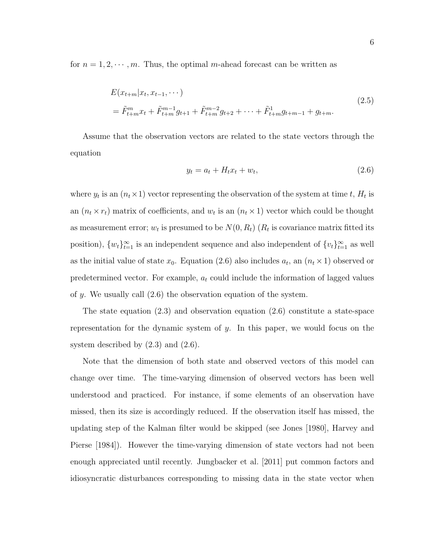for  $n = 1, 2, \dots, m$ . Thus, the optimal m-ahead forecast can be written as

$$
E(x_{t+m}|x_t, x_{t-1}, \cdots)
$$
  
=  $\tilde{F}_{t+m}^m x_t + \tilde{F}_{t+m}^{m-1} g_{t+1} + \tilde{F}_{t+m}^{m-2} g_{t+2} + \cdots + \tilde{F}_{t+m}^1 g_{t+m-1} + g_{t+m}.$  (2.5)

Assume that the observation vectors are related to the state vectors through the equation

$$
y_t = a_t + H_t x_t + w_t,\tag{2.6}
$$

where  $y_t$  is an  $(n_t \times 1)$  vector representing the observation of the system at time t,  $H_t$  is an  $(n_t \times r_t)$  matrix of coefficients, and  $w_t$  is an  $(n_t \times 1)$  vector which could be thought as measurement error;  $w_t$  is presumed to be  $N(0, R_t)$   $(R_t$  is covariance matrix fitted its position),  ${w_t}_{t=1}^{\infty}$  is an independent sequence and also independent of  ${v_t}_{t=1}^{\infty}$  as well as the initial value of state  $x_0$ . Equation (2.6) also includes  $a_t$ , an  $(n_t \times 1)$  observed or predetermined vector. For example,  $a_t$  could include the information of lagged values of y. We usually call  $(2.6)$  the observation equation of the system.

The state equation  $(2.3)$  and observation equation  $(2.6)$  constitute a state-space representation for the dynamic system of y. In this paper, we would focus on the system described by  $(2.3)$  and  $(2.6)$ .

Note that the dimension of both state and observed vectors of this model can change over time. The time-varying dimension of observed vectors has been well understood and practiced. For instance, if some elements of an observation have missed, then its size is accordingly reduced. If the observation itself has missed, the updating step of the Kalman filter would be skipped (see Jones [1980], Harvey and Pierse [1984]). However the time-varying dimension of state vectors had not been enough appreciated until recently. Jungbacker et al. [2011] put common factors and idiosyncratic disturbances corresponding to missing data in the state vector when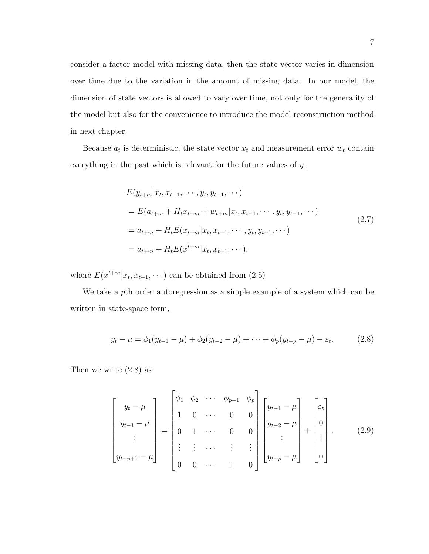consider a factor model with missing data, then the state vector varies in dimension over time due to the variation in the amount of missing data. In our model, the dimension of state vectors is allowed to vary over time, not only for the generality of the model but also for the convenience to introduce the model reconstruction method in next chapter.

Because  $a_t$  is deterministic, the state vector  $x_t$  and measurement error  $w_t$  contain everything in the past which is relevant for the future values of y,

$$
E(y_{t+m}|x_t, x_{t-1}, \cdots, y_t, y_{t-1}, \cdots)
$$
  
=  $E(a_{t+m} + H_t x_{t+m} + w_{t+m}|x_t, x_{t-1}, \cdots, y_t, y_{t-1}, \cdots)$   
=  $a_{t+m} + H_t E(x_{t+m}|x_t, x_{t-1}, \cdots, y_t, y_{t-1}, \cdots)$   
=  $a_{t+m} + H_t E(x^{t+m}|x_t, x_{t-1}, \cdots),$  (2.7)

where  $E(x^{t+m}|x_t, x_{t-1}, \dots)$  can be obtained from  $(2.5)$ 

We take a pth order autoregression as a simple example of a system which can be written in state-space form,

$$
y_t - \mu = \phi_1(y_{t-1} - \mu) + \phi_2(y_{t-2} - \mu) + \dots + \phi_p(y_{t-p} - \mu) + \varepsilon_t.
$$
 (2.8)

Then we write (2.8) as

$$
\begin{bmatrix}\ny_t - \mu \\
y_{t-1} - \mu \\
\vdots \\
y_{t-p+1} - \mu\n\end{bmatrix} = \begin{bmatrix}\n\phi_1 & \phi_2 & \cdots & \phi_{p-1} & \phi_p \\
1 & 0 & \cdots & 0 & 0 \\
0 & 1 & \cdots & 0 & 0 \\
\vdots & \vdots & \cdots & \vdots & \vdots \\
0 & 0 & \cdots & 1 & 0\n\end{bmatrix} \begin{bmatrix}\ny_{t-1} - \mu \\
y_{t-2} - \mu \\
\vdots \\
y_{t-p} - \mu\n\end{bmatrix} + \begin{bmatrix}\n\varepsilon_t \\
0 \\
\vdots \\
0\n\end{bmatrix}.
$$
\n(2.9)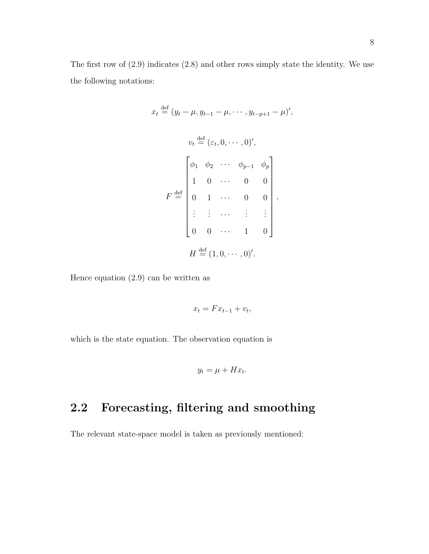The first row of (2.9) indicates (2.8) and other rows simply state the identity. We use the following notations:

$$
x_{t} \stackrel{\text{def}}{=} (y_{t} - \mu, y_{t-1} - \mu, \cdots, y_{t-p+1} - \mu)',
$$
  
\n
$$
v_{t} \stackrel{\text{def}}{=} (\varepsilon_{t}, 0, \cdots, 0)',
$$
  
\n
$$
F \stackrel{\text{def}}{=} \begin{bmatrix} \phi_{1} & \phi_{2} & \cdots & \phi_{p-1} & \phi_{p} \\ 1 & 0 & \cdots & 0 & 0 \\ 0 & 1 & \cdots & 0 & 0 \\ \vdots & \vdots & \cdots & \vdots & \vdots \\ 0 & 0 & \cdots & 1 & 0 \end{bmatrix},
$$
  
\n
$$
H \stackrel{\text{def}}{=} (1, 0, \cdots, 0)'
$$

Hence equation (2.9) can be written as

$$
x_t = F x_{t-1} + v_t,
$$

which is the state equation. The observation equation is

$$
y_t = \mu + H x_t.
$$

### 2.2 Forecasting, filtering and smoothing

The relevant state-space model is taken as previously mentioned: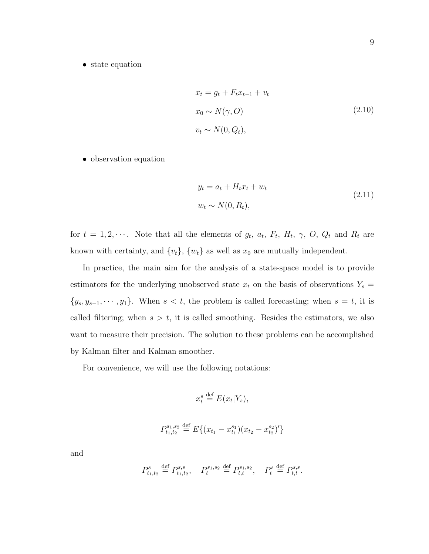• state equation

$$
x_t = g_t + F_t x_{t-1} + v_t
$$
  
\n
$$
x_0 \sim N(\gamma, O)
$$
  
\n
$$
v_t \sim N(0, Q_t),
$$
\n(2.10)

• observation equation

$$
y_t = a_t + H_t x_t + w_t
$$
  
\n
$$
w_t \sim N(0, R_t),
$$
\n(2.11)

for  $t = 1, 2, \cdots$ . Note that all the elements of  $g_t$ ,  $a_t$ ,  $F_t$ ,  $H_t$ ,  $\gamma$ ,  $O$ ,  $Q_t$  and  $R_t$  are known with certainty, and  $\{v_t\}$ ,  $\{w_t\}$  as well as  $x_0$  are mutually independent.

In practice, the main aim for the analysis of a state-space model is to provide estimators for the underlying unobserved state  $x_t$  on the basis of observations  $Y_s =$  $\{y_s, y_{s-1}, \dots, y_1\}$ . When  $s < t$ , the problem is called forecasting; when  $s = t$ , it is called filtering; when  $s > t$ , it is called smoothing. Besides the estimators, we also want to measure their precision. The solution to these problems can be accomplished by Kalman filter and Kalman smoother.

For convenience, we will use the following notations:

$$
x_t^s \stackrel{\text{def}}{=} E(x_t|Y_s),
$$

$$
P_{t_1,t_2}^{s_1,s_2} \stackrel{\text{def}}{=} E\{(x_{t_1} - x_{t_1}^{s_1})(x_{t_2} - x_{t_2}^{s_2})'\}
$$

and

$$
P_{t_1,t_2}^s \stackrel{\text{def}}{=} P_{t_1,t_2}^{s,s}, \quad P_t^{s_1,s_2} \stackrel{\text{def}}{=} P_{t,t}^{s_1,s_2}, \quad P_t^s \stackrel{\text{def}}{=} P_{t,t}^{s,s}.
$$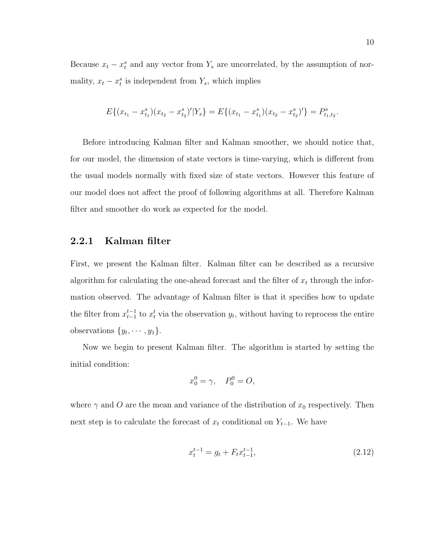Because  $x_t - x_t^s$  and any vector from  $Y_s$  are uncorrelated, by the assumption of normality,  $x_t - x_t^s$  is independent from  $Y_s$ , which implies

$$
E\{(x_{t_1}-x_{t_1}^s)(x_{t_2}-x_{t_2}^s)'|Y_s\}=E\{(x_{t_1}-x_{t_1}^s)(x_{t_2}-x_{t_2}^s)'\}=P_{t_1,t_2}^s.
$$

Before introducing Kalman filter and Kalman smoother, we should notice that, for our model, the dimension of state vectors is time-varying, which is different from the usual models normally with fixed size of state vectors. However this feature of our model does not affect the proof of following algorithms at all. Therefore Kalman filter and smoother do work as expected for the model.

#### 2.2.1 Kalman filter

First, we present the Kalman filter. Kalman filter can be described as a recursive algorithm for calculating the one-ahead forecast and the filter of  $x_t$  through the information observed. The advantage of Kalman filter is that it specifies how to update the filter from  $x_{t-1}^{t-1}$  to  $x_t^t$  via the observation  $y_t$ , without having to reprocess the entire observations  $\{y_t, \dots, y_1\}.$ 

Now we begin to present Kalman filter. The algorithm is started by setting the initial condition:

$$
x_0^0 = \gamma, \quad P_0^0 = O,
$$

where  $\gamma$  and O are the mean and variance of the distribution of  $x_0$  respectively. Then next step is to calculate the forecast of  $x_t$  conditional on  $Y_{t-1}$ . We have

$$
x_t^{t-1} = g_t + F_t x_{t-1}^{t-1},\tag{2.12}
$$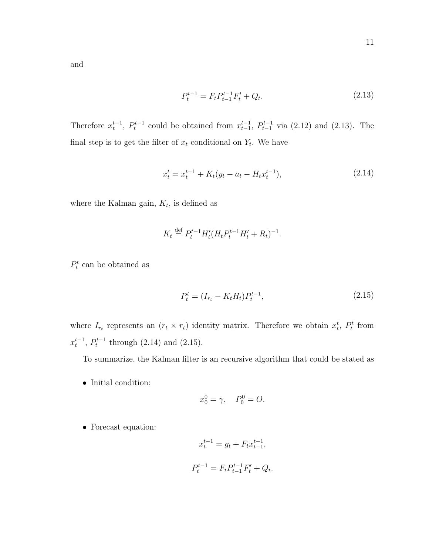and

$$
P_t^{t-1} = F_t P_{t-1}^{t-1} F_t' + Q_t.
$$
\n
$$
(2.13)
$$

Therefore  $x_t^{t-1}$ ,  $P_t^{t-1}$  could be obtained from  $x_{t-1}^{t-1}$ ,  $P_{t-1}^{t-1}$  via (2.12) and (2.13). The final step is to get the filter of  $x_t$  conditional on  $Y_t$ . We have

$$
x_t^t = x_t^{t-1} + K_t(y_t - a_t - H_t x_t^{t-1}),
$$
\n(2.14)

where the Kalman gain,  $K_t$ , is defined as

$$
K_t \stackrel{\text{def}}{=} P_t^{t-1} H'_t (H_t P_t^{t-1} H'_t + R_t)^{-1}.
$$

 $P_t^t$  can be obtained as

$$
P_t^t = (I_{r_t} - K_t H_t) P_t^{t-1},\tag{2.15}
$$

where  $I_{r_t}$  represents an  $(r_t \times r_t)$  identity matrix. Therefore we obtain  $x_t^t$ ,  $P_t^t$  from  $x_t^{t-1}$ ,  $P_t^{t-1}$  through (2.14) and (2.15).

To summarize, the Kalman filter is an recursive algorithm that could be stated as

• Initial condition:

$$
x_0^0 = \gamma, \quad P_0^0 = O.
$$

• Forecast equation:

$$
x_t^{t-1} = g_t + F_t x_{t-1}^{t-1},
$$
  

$$
P_t^{t-1} = F_t P_{t-1}^{t-1} F_t' + Q_t.
$$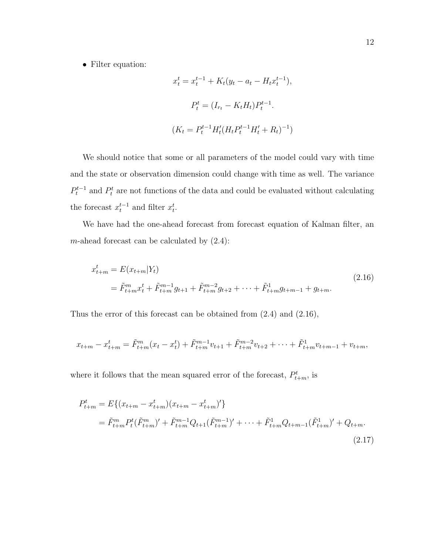• Filter equation:

$$
x_t^t = x_t^{t-1} + K_t(y_t - a_t - H_t x_t^{t-1}),
$$
  
\n
$$
P_t^t = (I_{r_t} - K_t H_t) P_t^{t-1}.
$$
  
\n
$$
(K_t = P_t^{t-1} H_t' (H_t P_t^{t-1} H_t' + R_t)^{-1})
$$

We should notice that some or all parameters of the model could vary with time and the state or observation dimension could change with time as well. The variance  $P_t^{t-1}$  and  $P_t^t$  are not functions of the data and could be evaluated without calculating the forecast  $x_t^{t-1}$  and filter  $x_t^t$ .

We have had the one-ahead forecast from forecast equation of Kalman filter, an m-ahead forecast can be calculated by  $(2.4)$ :

$$
x_{t+m}^t = E(x_{t+m}|Y_t)
$$
  
=  $\tilde{F}_{t+m}^m x_t^t + \tilde{F}_{t+m}^{m-1} g_{t+1} + \tilde{F}_{t+m}^{m-2} g_{t+2} + \dots + \tilde{F}_{t+m}^1 g_{t+m-1} + g_{t+m}.$  (2.16)

Thus the error of this forecast can be obtained from (2.4) and (2.16),

$$
x_{t+m} - x_{t+m}^t = \tilde{F}_{t+m}^m(x_t - x_t^t) + \tilde{F}_{t+m}^{m-1}v_{t+1} + \tilde{F}_{t+m}^{m-2}v_{t+2} + \dots + \tilde{F}_{t+m}^1v_{t+m-1} + v_{t+m},
$$

where it follows that the mean squared error of the forecast,  $P_{t+m}^t$ , is

$$
P_{t+m}^{t} = E\{(x_{t+m} - x_{t+m}^{t})(x_{t+m} - x_{t+m}^{t})'\}
$$
  
=  $\tilde{F}_{t+m}^{m} P_{t}^{t} (\tilde{F}_{t+m}^{m})' + \tilde{F}_{t+m}^{m-1} Q_{t+1} (\tilde{F}_{t+m}^{m-1})' + \cdots + \tilde{F}_{t+m}^{1} Q_{t+m-1} (\tilde{F}_{t+m}^{1})' + Q_{t+m}. \tag{2.17}$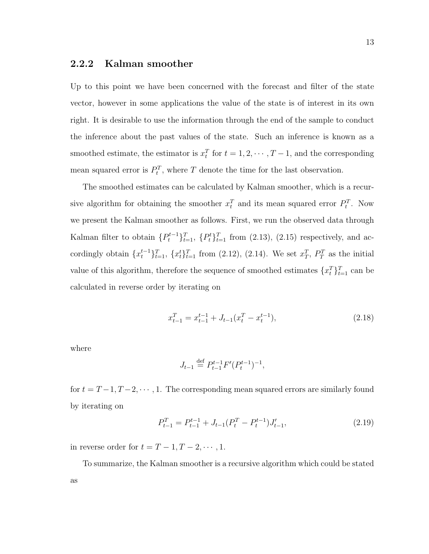#### 2.2.2 Kalman smoother

Up to this point we have been concerned with the forecast and filter of the state vector, however in some applications the value of the state is of interest in its own right. It is desirable to use the information through the end of the sample to conduct the inference about the past values of the state. Such an inference is known as a smoothed estimate, the estimator is  $x_t^T$  for  $t = 1, 2, \cdots, T-1$ , and the corresponding mean squared error is  $P_t^T$ , where T denote the time for the last observation.

The smoothed estimates can be calculated by Kalman smoother, which is a recursive algorithm for obtaining the smoother  $x_t^T$  and its mean squared error  $P_t^T$ . Now we present the Kalman smoother as follows. First, we run the observed data through Kalman filter to obtain  $\{P_t^{t-1}\}_{t=1}^T$ ,  $\{P_t^t\}_{t=1}^T$  from  $(2.13)$ ,  $(2.15)$  respectively, and accordingly obtain  $\{x_t^{t-1}\}_{t=1}^T$ ,  $\{x_t^t\}_{t=1}^T$  from (2.12), (2.14). We set  $x_T^T$ ,  $P_T^T$  as the initial value of this algorithm, therefore the sequence of smoothed estimates  $\{x_t^T\}_{t=1}^T$  can be calculated in reverse order by iterating on

$$
x_{t-1}^T = x_{t-1}^{t-1} + J_{t-1}(x_t^T - x_t^{t-1}),
$$
\n(2.18)

where

$$
J_{t-1} \stackrel{\text{def}}{=} P_{t-1}^{t-1} F'(P_t^{t-1})^{-1},
$$

for  $t = T-1, T-2, \dots, 1$ . The corresponding mean squared errors are similarly found by iterating on

$$
P_{t-1}^T = P_{t-1}^{t-1} + J_{t-1}(P_t^T - P_t^{t-1})J'_{t-1},
$$
\n(2.19)

in reverse order for  $t = T - 1, T - 2, \dots, 1$ .

To summarize, the Kalman smoother is a recursive algorithm which could be stated as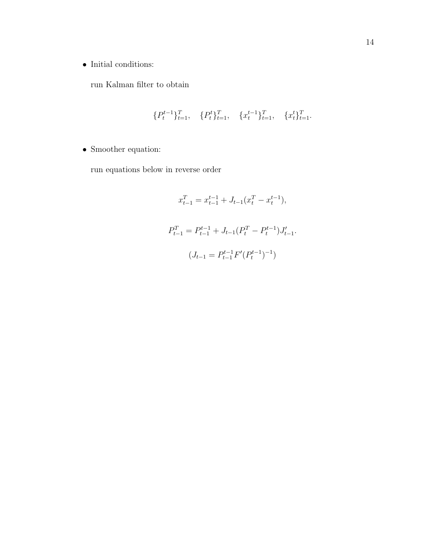$\bullet\,$  Initial conditions:

run Kalman filter to obtain

$$
\{P_t^{t-1}\}_{t=1}^T, \quad \{P_t^t\}_{t=1}^T, \quad \{x_t^{t-1}\}_{t=1}^T, \quad \{x_t^t\}_{t=1}^T.
$$

 $\bullet\,$  Smoother equation:

run equations below in reverse order

$$
x_{t-1}^T = x_{t-1}^{t-1} + J_{t-1}(x_t^T - x_t^{t-1}),
$$
  
\n
$$
P_{t-1}^T = P_{t-1}^{t-1} + J_{t-1}(P_t^T - P_t^{t-1})J'_{t-1}.
$$
  
\n
$$
(J_{t-1} = P_{t-1}^{t-1}F'(P_t^{t-1})^{-1})
$$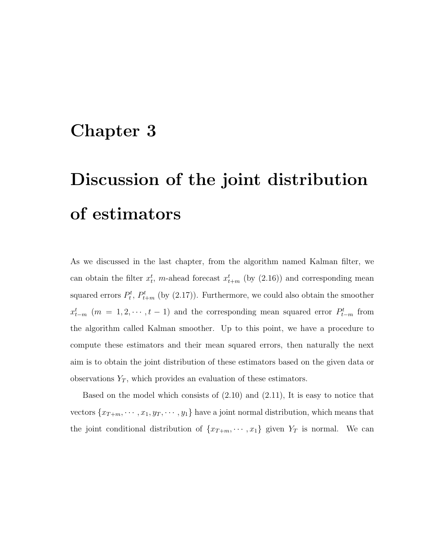## Chapter 3

# Discussion of the joint distribution of estimators

As we discussed in the last chapter, from the algorithm named Kalman filter, we can obtain the filter  $x_t^t$ , m-ahead forecast  $x_{t+m}^t$  (by (2.16)) and corresponding mean squared errors  $P_t^t$ ,  $P_{t+m}^t$  (by (2.17)). Furthermore, we could also obtain the smoother  $x_{t-m}^t$  (m = 1, 2,  $\dots$ , t − 1) and the corresponding mean squared error  $P_{t-m}^t$  from the algorithm called Kalman smoother. Up to this point, we have a procedure to compute these estimators and their mean squared errors, then naturally the next aim is to obtain the joint distribution of these estimators based on the given data or observations  $Y_T$ , which provides an evaluation of these estimators.

Based on the model which consists of (2.10) and (2.11), It is easy to notice that vectors  $\{x_{T+m}, \dots, x_1, y_T, \dots, y_1\}$  have a joint normal distribution, which means that the joint conditional distribution of  $\{x_{T+m}, \dots, x_1\}$  given  $Y_T$  is normal. We can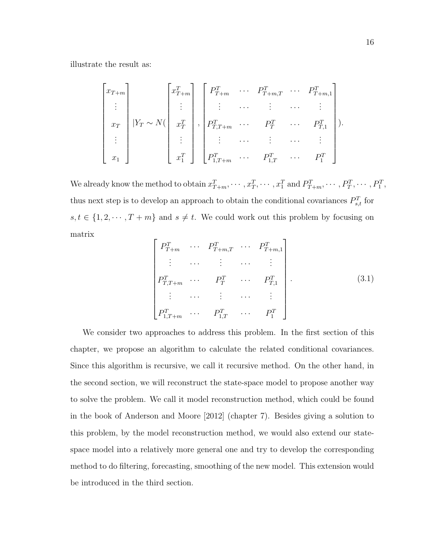illustrate the result as:

$$
\begin{bmatrix} x_{T+m} \\ \vdots \\ x_T \\ \vdots \\ x_1 \end{bmatrix} |Y_T \sim N(\begin{bmatrix} x_{T+m}^T \\ \vdots \\ x_T^T \\ \vdots \\ x_1^T \end{bmatrix}, \begin{bmatrix} P_{T+m}^T & \cdots & P_{T+m,1}^T \\ \vdots & \cdots & \vdots & \cdots & \vdots \\ P_{T,T+m}^T & \cdots & P_T^T & \cdots & P_{T,1}^T \\ \vdots & \cdots & \vdots & \cdots & \vdots \\ P_{1,T+m}^T & \cdots & P_{1,T}^T & \cdots & P_1^T \end{bmatrix} ).
$$

We already know the method to obtain  $x_{T+m}^T, \dots, x_T^T, \dots, x_1^T$  and  $P_{T+m}^T, \dots, P_T^T, \dots, P_1^T$ , thus next step is to develop an approach to obtain the conditional covariances  $P_{s,t}^T$  for  $s, t \in \{1, 2, \dots, T + m\}$  and  $s \neq t$ . We could work out this problem by focusing on matrix

$$
\begin{bmatrix}\nP_{T+m}^T & \cdots & P_{T+m,T}^T & \cdots & P_{T+m,1}^T \\
\vdots & \cdots & \vdots & \cdots & \vdots \\
P_{T,T+m}^T & \cdots & P_T^T & \cdots & P_{T,1}^T \\
\vdots & \cdots & \vdots & \cdots & \vdots \\
P_{1,T+m}^T & \cdots & P_{1,T}^T & \cdots & P_1^T\n\end{bmatrix}.
$$
\n(3.1)

We consider two approaches to address this problem. In the first section of this chapter, we propose an algorithm to calculate the related conditional covariances. Since this algorithm is recursive, we call it recursive method. On the other hand, in the second section, we will reconstruct the state-space model to propose another way to solve the problem. We call it model reconstruction method, which could be found in the book of Anderson and Moore [2012] (chapter 7). Besides giving a solution to this problem, by the model reconstruction method, we would also extend our statespace model into a relatively more general one and try to develop the corresponding method to do filtering, forecasting, smoothing of the new model. This extension would be introduced in the third section.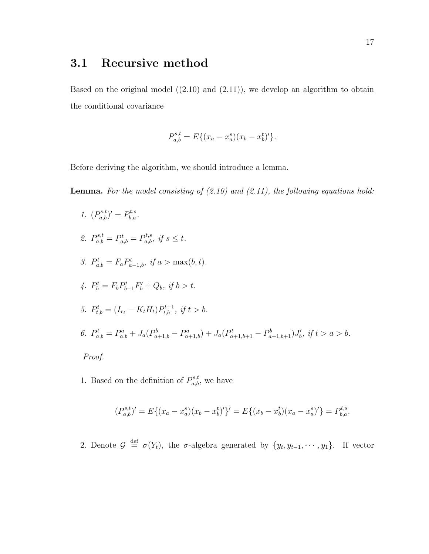### 3.1 Recursive method

Based on the original model  $((2.10)$  and  $(2.11)$ , we develop an algorithm to obtain the conditional covariance

$$
P_{a,b}^{s,t} = E\{(x_a - x_a^s)(x_b - x_b^t)'\}.
$$

Before deriving the algorithm, we should introduce a lemma.

**Lemma.** For the model consisting of  $(2.10)$  and  $(2.11)$ , the following equations hold:

- 1.  $(P_{a,b}^{s,t})' = P_{b,a}^{t,s}.$ 2.  $P_{a,b}^{s,t} = P_{a,b}^{t} = P_{a,b}^{t,s}, \text{ if } s \leq t.$ 3.  $P_{a,b}^t = F_a P_{a-1,b}^t$ , if  $a > \max(b,t)$ . 4.  $P_b^t = F_b P_{b-1}^t F_b' + Q_b$ , if  $b > t$ . 5.  $P_{t,b}^t = (I_{r_t} - K_t H_t) P_{t,b}^{t-1}, \text{ if } t > b.$ 6.  $P_{a,b}^t = P_{a,b}^a + J_a(P_{a+1,b}^b - P_{a+1,b}^a) + J_a(P_{a+1,b+1}^t - P_{a+1,b+1}^b)J_b', \text{ if } t > a > b.$ Proof.
- 1. Based on the definition of  $P_{a,b}^{s,t}$ , we have

$$
(P_{a,b}^{s,t})' = E\{(x_a - x_a^s)(x_b - x_b^t)'\}' = E\{(x_b - x_b^t)(x_a - x_a^s)'\} = P_{b,a}^{t,s}.
$$

2. Denote  $\mathcal{G} \stackrel{\text{def}}{=} \sigma(Y_t)$ , the  $\sigma$ -algebra generated by  $\{y_t, y_{t-1}, \dots, y_1\}$ . If vector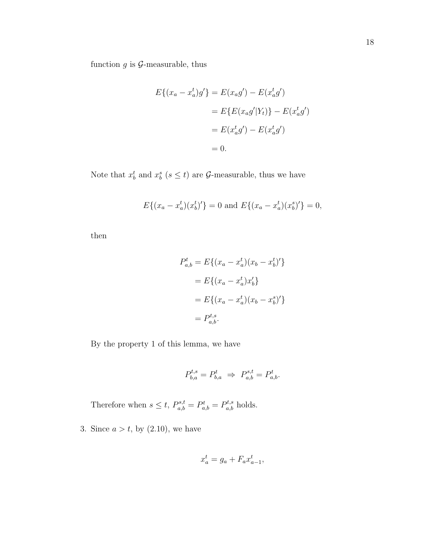function  $g$  is  $\mathcal{G}$ -measurable, thus

$$
E\{(x_a - x_a^t)g'\} = E(x_ag') - E(x_a^tg')
$$

$$
= E\{E(x_ag'|Y_t)\} - E(x_a^tg')
$$

$$
= E(x_a^tg') - E(x_a^tg')
$$

$$
= 0.
$$

Note that  $x_b^t$  and  $x_b^s$  ( $s \leq t$ ) are  $\mathcal{G}$ -measurable, thus we have

$$
E\{(x_a - x_a^t)(x_b^t)'\} = 0
$$
 and 
$$
E\{(x_a - x_a^t)(x_b^s)'\} = 0,
$$

then

$$
P_{a,b}^{t} = E\{(x_a - x_a^t)(x_b - x_b^t)'\}
$$
  
=  $E\{(x_a - x_a^t)x_b'\}$   
=  $E\{(x_a - x_a^t)(x_b - x_b^s)'\}$   
=  $P_{a,b}^{t,s}$ .

By the property 1 of this lemma, we have

$$
P_{b,a}^{t,s}=P_{b,a}^t \ \Rightarrow \ P_{a,b}^{s,t}=P_{a,b}^t.
$$

Therefore when  $s \leq t$ ,  $P_{a,b}^{s,t} = P_{a,b}^{t} = P_{a,b}^{t,s}$  holds.

3. Since  $a > t$ , by  $(2.10)$ , we have

$$
x_a^t = g_a + F_a x_{a-1}^t,
$$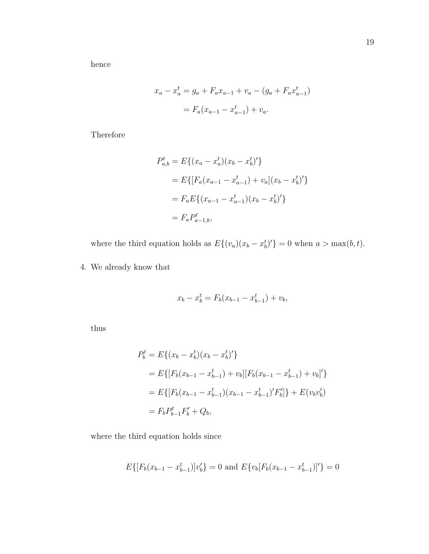hence

$$
x_a - x_a^t = g_a + F_a x_{a-1} + v_a - (g_a + F_a x_{a-1}^t)
$$
  
=  $F_a (x_{a-1} - x_{a-1}^t) + v_a$ .

Therefore

$$
P_{a,b}^{t} = E\{(x_a - x_a^t)(x_b - x_b^t)'\}
$$
  
=  $E\{[F_a(x_{a-1} - x_{a-1}^t) + v_a](x_b - x_b^t)'\}$   
=  $F_a E\{(x_{a-1} - x_{a-1}^t)(x_b - x_b^t)'\}$   
=  $F_a P_{a-1,b}^t$ ,

where the third equation holds as  $E\{(v_a)(x_b - x_b^t)'\}=0$  when  $a > \max(b, t)$ .

4. We already know that

$$
x_b - x_b^t = F_b(x_{b-1} - x_{b-1}^t) + v_b,
$$

thus

$$
P_b^t = E\{(x_b - x_b^t)(x_b - x_b^t)'\}
$$
  
=  $E\{[F_b(x_{b-1} - x_{b-1}^t) + v_b][F_b(x_{b-1} - x_{b-1}^t) + v_b]'\}$   
=  $E\{[F_b(x_{b-1} - x_{b-1}^t)(x_{b-1} - x_{b-1}^t)'F_b']\} + E(v_b v_b')$   
=  $F_b P_{b-1}^t F_b' + Q_b$ ,

where the third equation holds since

$$
E\{[F_b(x_{b-1} - x_{b-1}^t)]v_b'\} = 0
$$
 and 
$$
E\{v_b[F_b(x_{b-1} - x_{b-1}^t)]'\} = 0
$$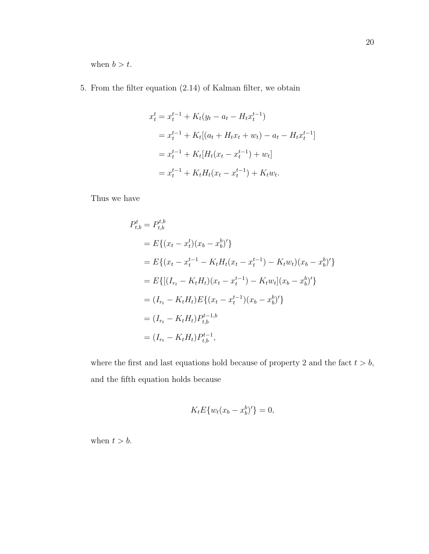when  $b > t$ .

5. From the filter equation (2.14) of Kalman filter, we obtain

$$
x_t^t = x_t^{t-1} + K_t(y_t - a_t - H_t x_t^{t-1})
$$
  
=  $x_t^{t-1} + K_t[(a_t + H_t x_t + w_t) - a_t - H_t x_t^{t-1}]$   
=  $x_t^{t-1} + K_t[H_t(x_t - x_t^{t-1}) + w_t]$   
=  $x_t^{t-1} + K_t H_t(x_t - x_t^{t-1}) + K_t w_t.$ 

Thus we have

$$
P_{t,b}^{t} = P_{t,b}^{t,b}
$$
  
=  $E\{(x_t - x_t^t)(x_b - x_b^b)'\}$   
=  $E\{(x_t - x_t^{t-1} - K_t H_t(x_t - x_t^{t-1}) - K_t w_t)(x_b - x_b^b)'\}$   
=  $E\{[(I_{r_t} - K_t H_t)(x_t - x_t^{t-1}) - K_t w_t](x_b - x_b^b)'\}$   
=  $(I_{r_t} - K_t H_t)E\{(x_t - x_t^{t-1})(x_b - x_b^b)'\}$   
=  $(I_{r_t} - K_t H_t)P_{t,b}^{t-1,b}$   
=  $(I_{r_t} - K_t H_t)P_{t,b}^{t-1},$ 

where the first and last equations hold because of property 2 and the fact  $t > b$ , and the fifth equation holds because

$$
K_t E\{w_t(x_b - x_b^b)'\} = 0,
$$

when  $t > b$ .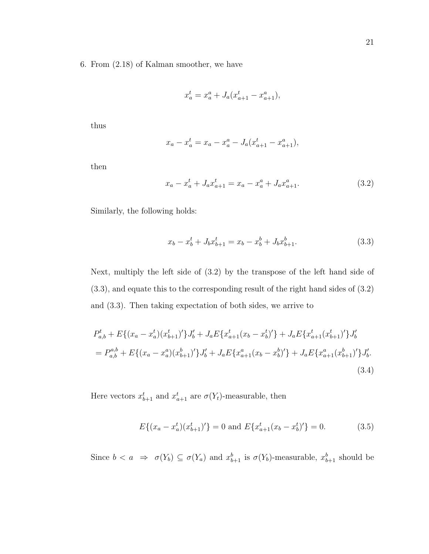6. From (2.18) of Kalman smoother, we have

$$
x_a^t = x_a^a + J_a(x_{a+1}^t - x_{a+1}^a),
$$

thus

$$
x_a - x_a^t = x_a - x_a^a - J_a(x_{a+1}^t - x_{a+1}^a),
$$

then

$$
x_a - x_a^t + J_a x_{a+1}^t = x_a - x_a^a + J_a x_{a+1}^a. \tag{3.2}
$$

Similarly, the following holds:

$$
x_b - x_b^t + J_b x_{b+1}^t = x_b - x_b^b + J_b x_{b+1}^b. \tag{3.3}
$$

Next, multiply the left side of (3.2) by the transpose of the left hand side of (3.3), and equate this to the corresponding result of the right hand sides of (3.2) and (3.3). Then taking expectation of both sides, we arrive to

$$
P_{a,b}^{t} + E\{(x_{a} - x_{a}^{t})(x_{b+1}^{t})'\}J_{b}' + J_{a}E\{x_{a+1}^{t}(x_{b} - x_{b}^{t})'\} + J_{a}E\{x_{a+1}^{t}(x_{b+1}^{t})'\}J_{b}'\}
$$
  

$$
= P_{a,b}^{a,b} + E\{(x_{a} - x_{a}^{a})(x_{b+1}^{b})'\}J_{b}' + J_{a}E\{x_{a+1}^{a}(x_{b} - x_{b}^{b})'\} + J_{a}E\{x_{a+1}^{a}(x_{b+1}^{b})'\}J_{b}'\}
$$
  
(3.4)

Here vectors  $x_{b+1}^t$  and  $x_{a+1}^t$  are  $\sigma(Y_t)$ -measurable, then

$$
E\{(x_a - x_a^t)(x_{b+1}^t)'\} = 0 \text{ and } E\{x_{a+1}^t(x_b - x_b^t)'\} = 0. \tag{3.5}
$$

Since  $b < a \Rightarrow \sigma(Y_b) \subseteq \sigma(Y_a)$  and  $x_{b+1}^b$  is  $\sigma(Y_b)$ -measurable,  $x_{b+1}^b$  should be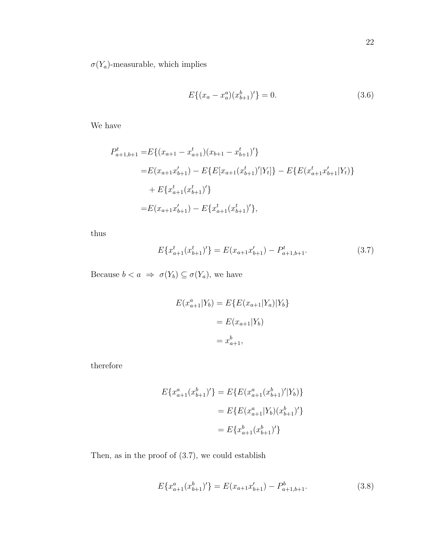$\sigma(Y_a)$  measurable, which implies

$$
E\{(x_a - x_a^a)(x_{b+1}^b)'\} = 0.
$$
\n(3.6)

We have

$$
P_{a+1,b+1}^{t} = E\{(x_{a+1} - x_{a+1}^{t})(x_{b+1} - x_{b+1}^{t})'\}
$$
  
\n
$$
= E(x_{a+1}x_{b+1}') - E\{E[x_{a+1}(x_{b+1}^{t})'|Y_{t}]\} - E\{E(x_{a+1}^{t}x_{b+1}'|Y_{t})\}
$$
  
\n
$$
+ E\{x_{a+1}^{t}(x_{b+1}^{t})'\}
$$
  
\n
$$
= E(x_{a+1}x_{b+1}') - E\{x_{a+1}^{t}(x_{b+1}^{t})'\},
$$

thus

$$
E\{x_{a+1}^t(x_{b+1}^t)'\} = E(x_{a+1}x_{b+1}') - P_{a+1,b+1}^t.
$$
\n(3.7)

Because  $b < a \Rightarrow \sigma(Y_b) \subseteq \sigma(Y_a)$ , we have

$$
E(x_{a+1}^a | Y_b) = E\{E(x_{a+1} | Y_a) | Y_b\}
$$

$$
= E(x_{a+1} | Y_b)
$$

$$
= x_{a+1}^b,
$$

therefore

$$
E\{x_{a+1}^a(x_{b+1}^b)'\} = E\{E(x_{a+1}^a(x_{b+1}^b)'\vert Y_b)\}
$$
  

$$
= E\{E(x_{a+1}^a\vert Y_b)(x_{b+1}^b)'\}
$$
  

$$
= E\{x_{a+1}^b(x_{b+1}^b)'\}
$$

Then, as in the proof of (3.7), we could establish

$$
E\{x_{a+1}^a(x_{b+1}^b)'\} = E(x_{a+1}x_{b+1}') - P_{a+1,b+1}^b.
$$
\n(3.8)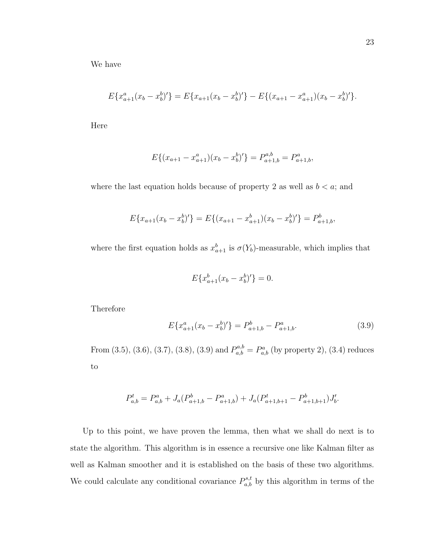We have

$$
E\{x_{a+1}^a(x_b-x_b^b)'\}=E\{x_{a+1}(x_b-x_b^b)'\}-E\{(x_{a+1}-x_{a+1}^a)(x_b-x_b^b)'\}.
$$

Here

$$
E\{(x_{a+1} - x_{a+1}^a)(x_b - x_b^b)'\} = P_{a+1,b}^{a,b} = P_{a+1,b}^a,
$$

where the last equation holds because of property 2 as well as  $b < a$ ; and

$$
E\{x_{a+1}(x_b - x_b^b)'\} = E\{(x_{a+1} - x_{a+1}^b)(x_b - x_b^b)'\} = P_{a+1,b}^b,
$$

where the first equation holds as  $x_{a+1}^b$  is  $\sigma(Y_b)$ -measurable, which implies that

$$
E\{x_{a+1}^b(x_b - x_b^b)'\} = 0.
$$

Therefore

$$
E\{x_{a+1}^a(x_b - x_b^b)'\} = P_{a+1,b}^b - P_{a+1,b}^a.
$$
\n(3.9)

From (3.5), (3.6), (3.7), (3.8), (3.9) and  $P_{a,b}^{a,b} = P_{a,b}^{a}$  (by property 2), (3.4) reduces to

$$
P_{a,b}^t = P_{a,b}^a + J_a(P_{a+1,b}^b - P_{a+1,b}^a) + J_a(P_{a+1,b+1}^t - P_{a+1,b+1}^b)J_b'.
$$

Up to this point, we have proven the lemma, then what we shall do next is to state the algorithm. This algorithm is in essence a recursive one like Kalman filter as well as Kalman smoother and it is established on the basis of these two algorithms. We could calculate any conditional covariance  $P_{a,b}^{s,t}$  by this algorithm in terms of the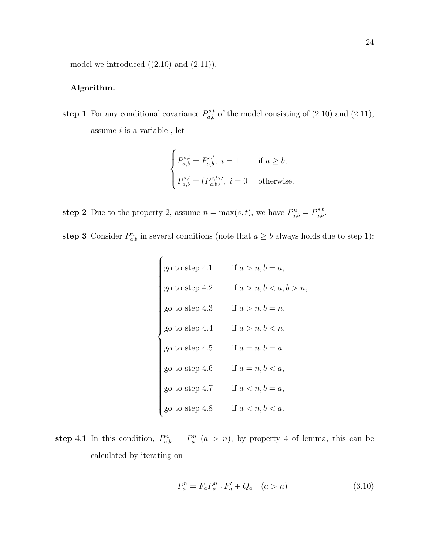model we introduced  $((2.10)$  and  $(2.11)$ ).

#### Algorithm.

step 1 For any conditional covariance  $P_{a,b}^{s,t}$  of the model consisting of (2.10) and (2.11), assume  $i$  is a variable, let

$$
\begin{cases}\nP_{a,b}^{s,t} = P_{a,b}^{s,t}, \ i = 1 & \text{if } a \ge b, \\
P_{a,b}^{s,t} = (P_{a,b}^{s,t})', \ i = 0 & \text{otherwise.} \n\end{cases}
$$

step 2 Due to the property 2, assume  $n = \max(s, t)$ , we have  $P_{a,b}^n = P_{a,b}^{s,t}$ .

step 3 Consider  $P_{a,b}^n$  in several conditions (note that  $a \geq b$  always holds due to step 1):

 go to step 4.1 if a > n, b = a, go to step 4.2 if a > n, b < a, b > n, go to step 4.3 if a > n, b = n, go to step 4.4 if a > n, b < n, go to step 4.5 if a = n, b = a go to step 4.6 if a = n, b < a, go to step 4.7 if a < n, b = a, go to step 4.8 if a < n, b < a.

step 4.1 In this condition,  $P_{a,b}^n = P_a^n$   $(a > n)$ , by property 4 of lemma, this can be calculated by iterating on

$$
P_a^n = F_a P_{a-1}^n F_a' + Q_a \quad (a > n)
$$
\n(3.10)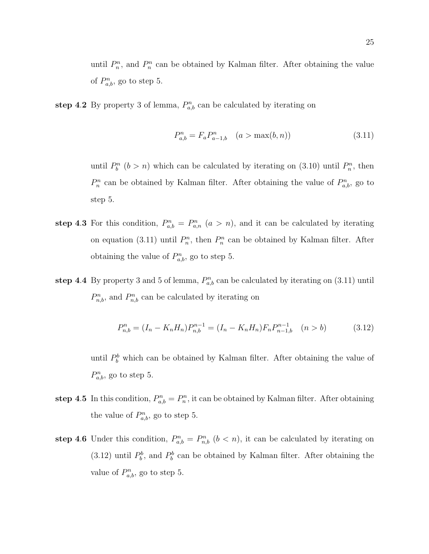until  $P_n^n$ , and  $P_n^n$  can be obtained by Kalman filter. After obtaining the value of  $P_{a,b}^n$ , go to step 5.

step 4.2 By property 3 of lemma,  $P_{a,b}^n$  can be calculated by iterating on

$$
P_{a,b}^{n} = F_a P_{a-1,b}^{n} \quad (a > \max(b, n))
$$
\n(3.11)

until  $P_b^n$  ( $b > n$ ) which can be calculated by iterating on (3.10) until  $P_n^n$ , then  $P_n^n$  can be obtained by Kalman filter. After obtaining the value of  $P_{a,b}^n$ , go to step 5.

- step 4.3 For this condition,  $P_{a,b}^n = P_{a,n}^n$   $(a > n)$ , and it can be calculated by iterating on equation (3.11) until  $P_n^n$ , then  $P_n^n$  can be obtained by Kalman filter. After obtaining the value of  $P_{a,b}^n$ , go to step 5.
- step 4.4 By property 3 and 5 of lemma,  $P_{a,b}^n$  can be calculated by iterating on (3.11) until  $P_{n,b}^n$ , and  $P_{n,b}^n$  can be calculated by iterating on

$$
P_{n,b}^{n} = (I_n - K_n H_n) P_{n,b}^{n-1} = (I_n - K_n H_n) F_n P_{n-1,b}^{n-1} \quad (n > b)
$$
 (3.12)

until  $P_b^b$  which can be obtained by Kalman filter. After obtaining the value of  $P_{a,b}^n$ , go to step 5.

- step 4.5 In this condition,  $P_{a,b}^n = P_n^n$ , it can be obtained by Kalman filter. After obtaining the value of  $P_{a,b}^n$ , go to step 5.
- step 4.6 Under this condition,  $P_{a,b}^n = P_{n,b}^n$   $(b < n)$ , it can be calculated by iterating on (3.12) until  $P_b^b$ , and  $P_b^b$  can be obtained by Kalman filter. After obtaining the value of  $P_{a,b}^n$ , go to step 5.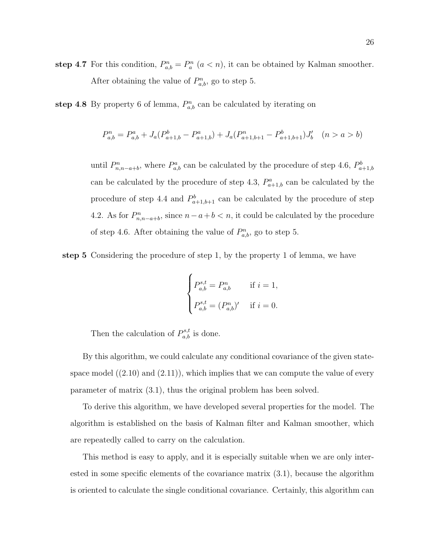step 4.7 For this condition,  $P_{a,b}^n = P_a^n$   $(a < n)$ , it can be obtained by Kalman smoother. After obtaining the value of  $P_{a,b}^n$ , go to step 5.

step 4.8 By property 6 of lemma,  $P_{a,b}^n$  can be calculated by iterating on

$$
P_{a,b}^n = P_{a,b}^a + J_a(P_{a+1,b}^b - P_{a+1,b}^a) + J_a(P_{a+1,b+1}^n - P_{a+1,b+1}^b)J_b' \quad (n > a > b)
$$

until  $P_{n,n-a+b}^n$ , where  $P_{a,b}^a$  can be calculated by the procedure of step 4.6,  $P_{a+1,b}^b$ can be calculated by the procedure of step 4.3,  $P_{a+1,b}^a$  can be calculated by the procedure of step 4.4 and  $P_{a+1,b+1}^b$  can be calculated by the procedure of step 4.2. As for  $P_{n,n-a+b}^n$ , since  $n-a+b < n$ , it could be calculated by the procedure of step 4.6. After obtaining the value of  $P_{a,b}^n$ , go to step 5.

step 5 Considering the procedure of step 1, by the property 1 of lemma, we have

$$
\begin{cases}\nP_{a,b}^{s,t} = P_{a,b}^n & \text{if } i = 1, \\
P_{a,b}^{s,t} = (P_{a,b}^n)' & \text{if } i = 0.\n\end{cases}
$$

Then the calculation of  $P_{a,b}^{s,t}$  is done.

By this algorithm, we could calculate any conditional covariance of the given statespace model  $((2.10)$  and  $(2.11)$ , which implies that we can compute the value of every parameter of matrix (3.1), thus the original problem has been solved.

To derive this algorithm, we have developed several properties for the model. The algorithm is established on the basis of Kalman filter and Kalman smoother, which are repeatedly called to carry on the calculation.

This method is easy to apply, and it is especially suitable when we are only interested in some specific elements of the covariance matrix (3.1), because the algorithm is oriented to calculate the single conditional covariance. Certainly, this algorithm can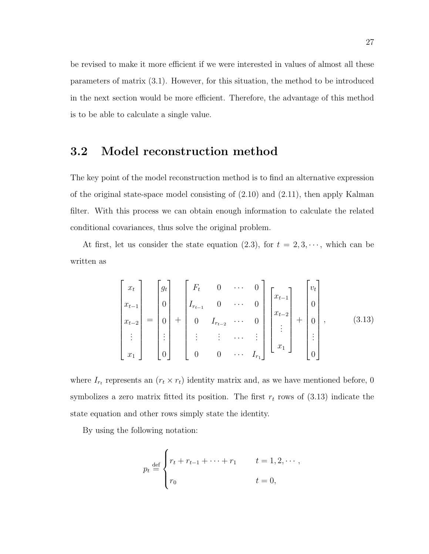be revised to make it more efficient if we were interested in values of almost all these parameters of matrix (3.1). However, for this situation, the method to be introduced in the next section would be more efficient. Therefore, the advantage of this method is to be able to calculate a single value.

### 3.2 Model reconstruction method

The key point of the model reconstruction method is to find an alternative expression of the original state-space model consisting of (2.10) and (2.11), then apply Kalman filter. With this process we can obtain enough information to calculate the related conditional covariances, thus solve the original problem.

At first, let us consider the state equation (2.3), for  $t = 2, 3, \dots$ , which can be written as

$$
\begin{bmatrix} x_t \\ x_{t-1} \\ x_{t-2} \\ \vdots \\ x_1 \end{bmatrix} = \begin{bmatrix} g_t \\ 0 \\ 0 \\ \vdots \\ 0 \end{bmatrix} + \begin{bmatrix} F_t & 0 & \cdots & 0 \\ I_{r_{t-1}} & 0 & \cdots & 0 \\ 0 & I_{r_{t-2}} & \cdots & 0 \\ \vdots & \vdots & \cdots & \vdots \\ 0 & 0 & \cdots & I_{r_1} \end{bmatrix} \begin{bmatrix} x_{t-1} \\ x_{t-2} \\ \vdots \\ x_1 \end{bmatrix} + \begin{bmatrix} v_t \\ 0 \\ 0 \\ \vdots \\ 0 \end{bmatrix}, \qquad (3.13)
$$

where  $I_{r_t}$  represents an  $(r_t \times r_t)$  identity matrix and, as we have mentioned before, 0 symbolizes a zero matrix fitted its position. The first  $r_t$  rows of (3.13) indicate the state equation and other rows simply state the identity.

By using the following notation:

$$
p_t \stackrel{\text{def}}{=} \begin{cases} r_t + r_{t-1} + \dots + r_1 & t = 1, 2, \dots \\ r_0 & t = 0, \end{cases}
$$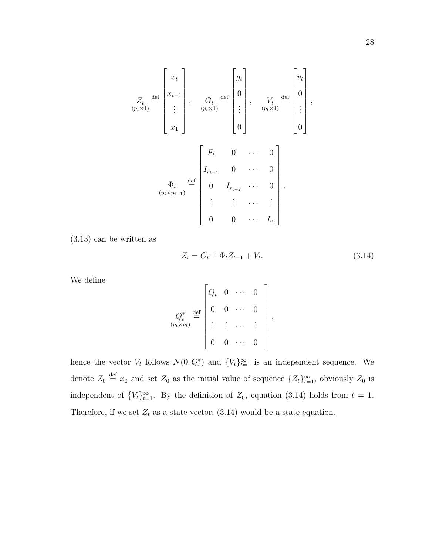$$
Z_{t} \stackrel{\text{def}}{=} \begin{bmatrix} x_{t} \\ x_{t-1} \\ \vdots \\ x_{1} \end{bmatrix}, \quad G_{t} \stackrel{\text{def}}{=} \begin{bmatrix} g_{t} \\ 0 \\ \vdots \\ g_{t} \end{bmatrix}, \quad V_{t} \stackrel{\text{def}}{=} \begin{bmatrix} v_{t} \\ 0 \\ \vdots \\ v_{t} \end{bmatrix},
$$

$$
W_{t} \stackrel{\text{def}}{=} \begin{bmatrix} v_{t} \\ 0 \\ \vdots \\ v_{t} \end{bmatrix},
$$

$$
W_{t} \stackrel{\text{def}}{=} \begin{bmatrix} v_{t} \\ 0 \\ \vdots \\ v_{t} \end{bmatrix},
$$

$$
W_{t} \stackrel{\text{def}}{=} \begin{bmatrix} v_{t} \\ 0 \\ \vdots \\ v_{t} \end{bmatrix},
$$

$$
W_{t} \stackrel{\text{def}}{=} \begin{bmatrix} v_{t} \\ 0 \\ \vdots \\ v_{t} \end{bmatrix},
$$

$$
W_{t} \stackrel{\text{def}}{=} \begin{bmatrix} v_{t} \\ 0 \\ \vdots \\ v_{t} \end{bmatrix},
$$

$$
W_{t} \stackrel{\text{def}}{=} \begin{bmatrix} v_{t} \\ 0 \\ \vdots \\ v_{t} \end{bmatrix},
$$

(3.13) can be written as

$$
Z_t = G_t + \Phi_t Z_{t-1} + V_t. \tag{3.14}
$$

We define

$$
Q_t^* = \begin{bmatrix} Q_t & 0 & \cdots & 0 \\ 0 & 0 & \cdots & 0 \\ \vdots & \vdots & \cdots & \vdots \\ 0 & 0 & \cdots & 0 \end{bmatrix},
$$

hence the vector  $V_t$  follows  $N(0, Q_t^*)$  and  $\{V_t\}_{t=1}^{\infty}$  is an independent sequence. We denote  $Z_0 \stackrel{\text{def}}{=} x_0$  and set  $Z_0$  as the initial value of sequence  $\{Z_t\}_{t=1}^{\infty}$ , obviously  $Z_0$  is independent of  ${V_t}_{t=1}^{\infty}$ . By the definition of  $Z_0$ , equation (3.14) holds from  $t = 1$ . Therefore, if we set  $Z_t$  as a state vector, (3.14) would be a state equation.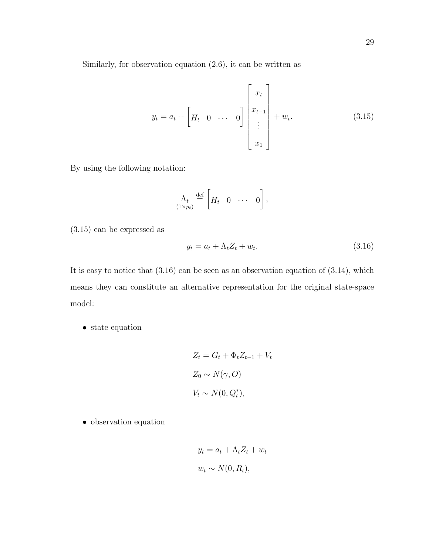Similarly, for observation equation (2.6), it can be written as

$$
y_{t} = a_{t} + \begin{bmatrix} H_{t} & 0 & \cdots & 0 \end{bmatrix} \begin{bmatrix} x_{t} \\ x_{t-1} \\ \vdots \\ x_{1} \end{bmatrix} + w_{t}.
$$
 (3.15)

By using the following notation:

$$
\Lambda_t \stackrel{\text{def}}{=} \left[ H_t \quad 0 \quad \cdots \quad 0 \right],
$$

(3.15) can be expressed as

$$
y_t = a_t + \Lambda_t Z_t + w_t. \tag{3.16}
$$

It is easy to notice that  $(3.16)$  can be seen as an observation equation of  $(3.14)$ , which means they can constitute an alternative representation for the original state-space model:

• state equation

$$
Z_t = G_t + \Phi_t Z_{t-1} + V_t
$$
  

$$
Z_0 \sim N(\gamma, O)
$$
  

$$
V_t \sim N(0, Q_t^*),
$$

• observation equation

$$
y_t = a_t + \Lambda_t Z_t + w_t
$$
  

$$
w_t \sim N(0, R_t),
$$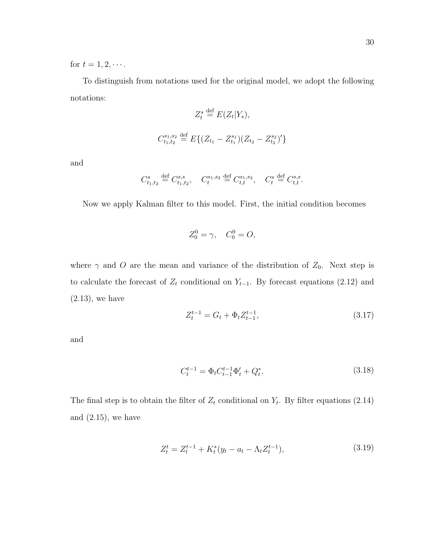for  $t = 1, 2, \cdots$ .

To distinguish from notations used for the original model, we adopt the following notations:

$$
Z_t^s \stackrel{\text{def}}{=} E(Z_t|Y_s),
$$
  

$$
C_{t_1,t_2}^{s_1,s_2} \stackrel{\text{def}}{=} E\{(Z_{t_1} - Z_{t_1}^{s_1})(Z_{t_2} - Z_{t_2}^{s_2})'\}
$$

and

$$
C_{t_1,t_2}^s \stackrel{\text{def}}{=} C_{t_1,t_2}^{s,s}, \quad C_t^{s_1,s_2} \stackrel{\text{def}}{=} C_{t,t}^{s_1,s_2}, \quad C_t^s \stackrel{\text{def}}{=} C_{t,t}^{s,s}.
$$

Now we apply Kalman filter to this model. First, the initial condition becomes

$$
Z_0^0 = \gamma, \quad C_0^0 = O,
$$

where  $\gamma$  and O are the mean and variance of the distribution of  $Z_0$ . Next step is to calculate the forecast of  $Z_t$  conditional on  $Y_{t-1}$ . By forecast equations (2.12) and  $(2.13)$ , we have

$$
Z_t^{t-1} = G_t + \Phi_t Z_{t-1}^{t-1},\tag{3.17}
$$

and

$$
C_t^{t-1} = \Phi_t C_{t-1}^{t-1} \Phi_t' + Q_t^*.
$$
\n(3.18)

The final step is to obtain the filter of  $Z_t$  conditional on  $Y_t$ . By filter equations (2.14) and  $(2.15)$ , we have

$$
Z_t^t = Z_t^{t-1} + K_t^*(y_t - a_t - \Lambda_t Z_t^{t-1}),
$$
\n(3.19)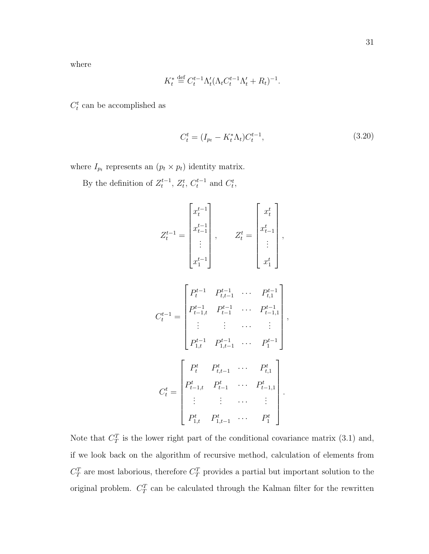where

$$
K_t^* \stackrel{\text{def}}{=} C_t^{t-1} \Lambda_t' (\Lambda_t C_t^{t-1} \Lambda_t' + R_t)^{-1}.
$$

 $C_t^t$  can be accomplished as

$$
C_t^t = (I_{p_t} - K_t^* \Lambda_t) C_t^{t-1}, \qquad (3.20)
$$

where  $I_{p_t}$  represents an  $(p_t \times p_t)$  identity matrix.

By the definition of  $Z_t^{t-1}$ ,  $Z_t^t$ ,  $C_t^{t-1}$  and  $C_t^t$ ,

$$
Z_{t}^{t-1} = \begin{bmatrix} x_{t}^{t-1} \\ x_{t-1}^{t-1} \\ \vdots \\ x_{t}^{t-1} \end{bmatrix}, \qquad Z_{t}^{t} = \begin{bmatrix} x_{t}^{t} \\ x_{t-1}^{t} \\ \vdots \\ x_{t}^{t} \end{bmatrix},
$$

$$
C_{t}^{t-1} = \begin{bmatrix} P_{t}^{t-1} & P_{t-1}^{t-1} & \cdots & P_{t-1}^{t-1} \\ P_{t-1,t}^{t-1} & P_{t-1}^{t-1} & \cdots & P_{t-1,1}^{t-1} \\ \vdots & \vdots & \cdots & \vdots \\ P_{1,t}^{t-1} & P_{1,t-1}^{t-1} & \cdots & P_{1}^{t-1} \end{bmatrix},
$$

$$
C_{t}^{t} = \begin{bmatrix} P_{t}^{t} & P_{t}^{t} & \cdots & P_{t}^{t} \\ P_{t-1,t}^{t} & P_{t-1}^{t} & \cdots & P_{t-1,1}^{t} \\ \vdots & \vdots & \cdots & \vdots \\ P_{1,t}^{t} & P_{1,t-1}^{t} & \cdots & P_{1}^{t} \end{bmatrix}.
$$

Note that  $C_T^T$  is the lower right part of the conditional covariance matrix (3.1) and, if we look back on the algorithm of recursive method, calculation of elements from  $C_T^T$  are most laborious, therefore  $C_T^T$  provides a partial but important solution to the original problem.  $C_T^T$  can be calculated through the Kalman filter for the rewritten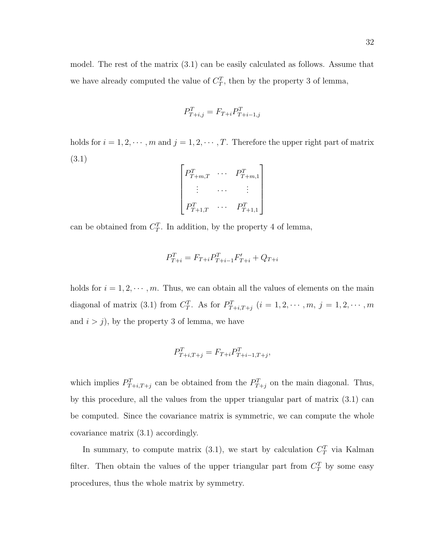model. The rest of the matrix (3.1) can be easily calculated as follows. Assume that we have already computed the value of  $C_T^T$ , then by the property 3 of lemma,

$$
P_{T+i,j}^T = F_{T+i} P_{T+i-1,j}^T
$$

holds for  $i = 1, 2, \dots, m$  and  $j = 1, 2, \dots, T$ . Therefore the upper right part of matrix (3.1)

| $P_{T+m,T}^{\mu}$ | $P_{T+m,1}^{\mu}$ |
|-------------------|-------------------|
|                   |                   |
| $P_{T+1,T}^{\mu}$ | $P_{T+1,1}^{\mu}$ |

can be obtained from  $C_T^T$ . In addition, by the property 4 of lemma,

$$
P_{T+i}^T = F_{T+i} P_{T+i-1}^T F'_{T+i} + Q_{T+i}
$$

holds for  $i = 1, 2, \dots, m$ . Thus, we can obtain all the values of elements on the main diagonal of matrix (3.1) from  $C_T^T$ . As for  $P_{T+i,T+j}^T$   $(i = 1, 2, \cdots, m, j = 1, 2, \cdots, m$ and  $i > j$ , by the property 3 of lemma, we have

$$
P_{T+i,T+j}^T = F_{T+i} P_{T+i-1,T+j}^T,
$$

which implies  $P_{T+i,T+j}^T$  can be obtained from the  $P_{T+j}^T$  on the main diagonal. Thus, by this procedure, all the values from the upper triangular part of matrix (3.1) can be computed. Since the covariance matrix is symmetric, we can compute the whole covariance matrix (3.1) accordingly.

In summary, to compute matrix (3.1), we start by calculation  $C_T^T$  via Kalman filter. Then obtain the values of the upper triangular part from  $C_T^T$  by some easy procedures, thus the whole matrix by symmetry.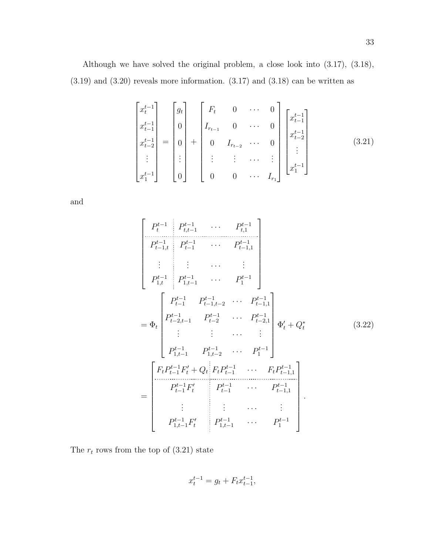Although we have solved the original problem, a close look into (3.17), (3.18),  $(3.19)$  and  $(3.20)$  reveals more information.  $(3.17)$  and  $(3.18)$  can be written as

$$
\begin{bmatrix} x_t^{t-1} \\ x_{t-1}^{t-1} \\ x_{t-2}^{t-1} \\ \vdots \\ x_1^{t-1} \end{bmatrix} = \begin{bmatrix} g_t \\ 0 \\ 0 \\ \vdots \\ 0 \end{bmatrix} + \begin{bmatrix} F_t & 0 & \cdots & 0 \\ I_{r_{t-1}} & 0 & \cdots & 0 \\ 0 & I_{r_{t-2}} & \cdots & 0 \\ \vdots & \vdots & \cdots & \vdots \\ 0 & 0 & \cdots & I_{r_1} \end{bmatrix} \begin{bmatrix} x_{t-1}^{t-1} \\ x_{t-2}^{t-1} \\ \vdots \\ x_1^{t-1} \end{bmatrix}
$$
(3.21)

and

$$
\begin{bmatrix}\nP_t^{t-1} & P_{t,t-1}^{t-1} & \cdots & P_{t,1}^{t-1} \\
P_{t-1,t}^{t-1} & P_{t-1}^{t-1} & \cdots & P_{t-1,1}^{t-1} \\
\vdots & \vdots & \cdots & \vdots \\
P_{1,t}^{t-1} & P_{1,t-1}^{t-1} & \cdots & P_1^{t-1} \\
P_{t-1,t}^{t-1} & P_{t-1,t-2}^{t-1} & \cdots & P_{t-1,1}^{t-1} \\
P_{t-2,t-1}^{t-1} & P_{t-2}^{t-1} & \cdots & P_{t-2,1}^{t-1} \\
\vdots & \vdots & \cdots & \vdots \\
P_{1,t-1}^{t-1} & P_{1,t-2}^{t-1} & \cdots & P_1^{t-1} \\
P_{t-1,t-1}^{t-1} & P_{1,t-2}^{t-1} & \cdots & P_1^{t-1} \\
\vdots & \vdots & \cdots & \vdots \\
P_{t-1}^{t-1} & P_{t-1}^{t-1} & \cdots & P_{t-1,1}^{t-1} \\
P_{t-1}^{t-1} & P_{t-1}^{t-1} & \cdots & P_{t-1,1}^{t-1} \\
P_{1,t-1}^{t-1} & P_{1,t-1}^{t-1} & \cdots & P_1^{t-1} \\
\vdots & \vdots & \cdots & \vdots \\
P_{1,t-1}^{t-1} & P_{t}^{t-1} & \cdots & P_1^{t-1}\n\end{bmatrix}.
$$
\n(3.22)

The  $r_t$  rows from the top of  $(3.21)$  state

$$
x_t^{t-1} = g_t + F_t x_{t-1}^{t-1},
$$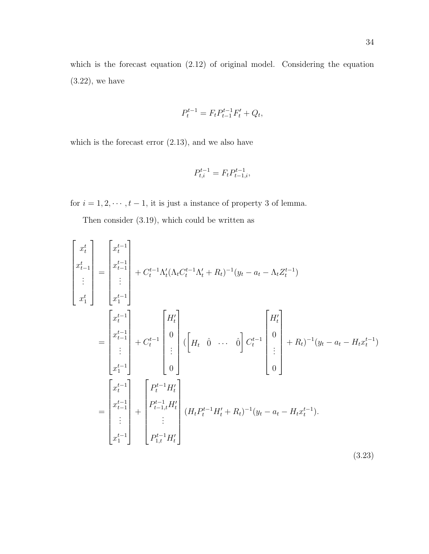which is the forecast equation  $(2.12)$  of original model. Considering the equation  $(3.22)$ , we have

$$
P_t^{t-1} = F_t P_{t-1}^{t-1} F_t' + Q_t,
$$

which is the forecast error (2.13), and we also have

$$
P_{t,i}^{t-1} = F_t P_{t-1,i}^{t-1},
$$

for  $i = 1, 2, \dots, t - 1$ , it is just a instance of property 3 of lemma.

Then consider (3.19), which could be written as

$$
\begin{bmatrix}\nx_t^t \\
x_{t-1}^t \\
\vdots \\
x_1^t\n\end{bmatrix} = \begin{bmatrix}\nx_t^{t-1} \\
x_{t-1}^{t-1} \\
\vdots \\
x_1^{t-1}\n\end{bmatrix} + C_t^{t-1} \Lambda_t' (\Lambda_t C_t^{t-1} \Lambda_t' + R_t)^{-1} (y_t - a_t - \Lambda_t Z_t^{t-1})
$$
\n
$$
= \begin{bmatrix}\nx_t^{t-1} \\
x_t^{t-1} \\
\vdots \\
x_1^{t-1}\n\end{bmatrix} + C_t^{t-1} \begin{bmatrix}\nH_t' \\
0 \\
\vdots \\
0\n\end{bmatrix} (\begin{bmatrix}\nH_t & \hat{0} & \cdots & \hat{0}\n\end{bmatrix} C_t^{t-1} \begin{bmatrix}\nH_t' \\
0 \\
\vdots \\
0\n\end{bmatrix} + R_t)^{-1} (y_t - a_t - H_t x_t^{t-1})
$$
\n
$$
= \begin{bmatrix}\nx_t^{t-1} \\
x_{t-1}^{t-1} \\
\vdots \\
x_1^{t-1}\n\end{bmatrix} + \begin{bmatrix}\nP_t^{t-1} H_t' \\
P_{t-1,t}^t H_t' \\
\vdots \\
P_{1,t}^{t-1} H_t'\n\end{bmatrix} (H_t P_t^{t-1} H_t' + R_t)^{-1} (y_t - a_t - H_t x_t^{t-1}).
$$
\n(3.23)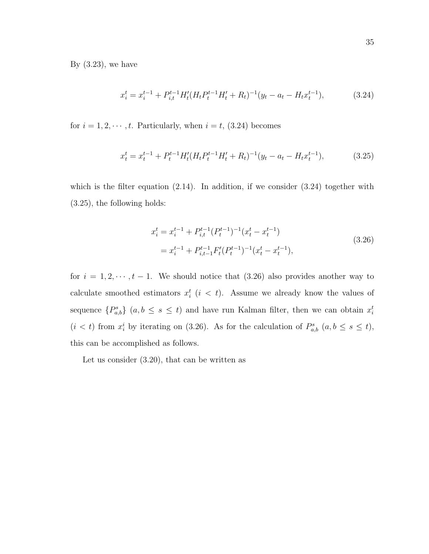By  $(3.23)$ , we have

$$
x_i^t = x_i^{t-1} + P_{i,t}^{t-1} H_t' (H_t P_t^{t-1} H_t' + R_t)^{-1} (y_t - a_t - H_t x_t^{t-1}), \tag{3.24}
$$

for  $i = 1, 2, \dots, t$ . Particularly, when  $i = t$ , (3.24) becomes

$$
x_t^t = x_t^{t-1} + P_t^{t-1} H_t'(H_t P_t^{t-1} H_t' + R_t)^{-1} (y_t - a_t - H_t x_t^{t-1}), \tag{3.25}
$$

which is the filter equation  $(2.14)$ . In addition, if we consider  $(3.24)$  together with (3.25), the following holds:

$$
x_i^t = x_i^{t-1} + P_{i,t}^{t-1} (P_t^{t-1})^{-1} (x_t^t - x_t^{t-1})
$$
  
=  $x_i^{t-1} + P_{i,t-1}^{t-1} F_t' (P_t^{t-1})^{-1} (x_t^t - x_t^{t-1}),$  (3.26)

for  $i = 1, 2, \dots, t - 1$ . We should notice that (3.26) also provides another way to calculate smoothed estimators  $x_i^t$   $(i < t)$ . Assume we already know the values of sequence  $\{P_{a,b}^s\}$   $(a,b \leq s \leq t)$  and have run Kalman filter, then we can obtain  $x_i^t$  $(i < t)$  from  $x_i^i$  by iterating on (3.26). As for the calculation of  $P_{a,b}^s$   $(a, b \le s \le t)$ , this can be accomplished as follows.

Let us consider (3.20), that can be written as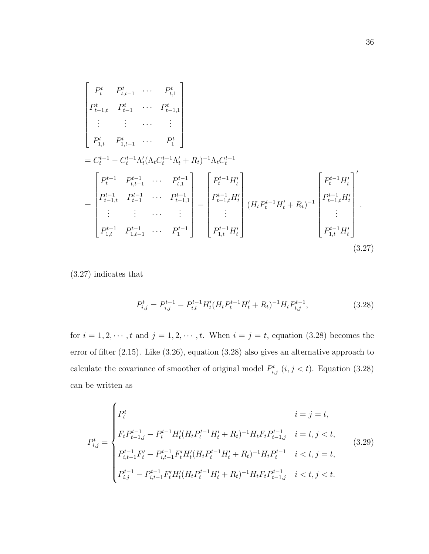$$
\begin{bmatrix}\nP_t^t & P_{t,t-1}^t & \cdots & P_{t,1}^t \\
P_{t-1,t}^t & P_{t-1}^t & \cdots & P_{t-1,1}^t \\
\vdots & \vdots & \cdots & \vdots \\
P_{1,t}^t & P_{1,t-1}^t & \cdots & P_1^t\n\end{bmatrix}
$$
\n
$$
= C_t^{t-1} - C_t^{t-1} \Lambda_t' (\Lambda_t C_t^{t-1} \Lambda_t' + R_t)^{-1} \Lambda_t C_t^{t-1}
$$
\n
$$
= \begin{bmatrix}\nP_t^{t-1} & P_{t,t-1}^{t-1} & \cdots & P_{t,1}^{t-1} \\
P_{t-1,t}^t & P_{t-1}^{t-1} & \cdots & P_{t-1,1}^{t-1} \\
\vdots & \vdots & \cdots & \vdots \\
P_{1,t}^{t-1} & P_{1,t-1}^{t-1} & \cdots & P_1^{t-1}\n\end{bmatrix} - \begin{bmatrix}\nP_t^{t-1} H_t' \\
P_{t-1,t}^t H_t' \\
\vdots \\
P_{1,t}^{t-1} H_t' \\
\vdots \\
P_{1,t}^{t-1} H_t'\n\end{bmatrix} (H_t P_t^{t-1} H_t' + R_t)^{-1} \begin{bmatrix}\nP_t^{t-1} H_t' \\
P_{t-1,t}^t H_t' \\
\vdots \\
P_{1,t}^{t-1} H_t'\n\end{bmatrix} .
$$
\n(3.27)

(3.27) indicates that

$$
P_{i,j}^{t} = P_{i,j}^{t-1} - P_{i,t}^{t-1} H_t'(H_t P_t^{t-1} H_t' + R_t)^{-1} H_t P_{t,j}^{t-1},
$$
\n(3.28)

for  $i = 1, 2, \dots, t$  and  $j = 1, 2, \dots, t$ . When  $i = j = t$ , equation (3.28) becomes the error of filter (2.15). Like (3.26), equation (3.28) also gives an alternative approach to calculate the covariance of smoother of original model  $P_{i,j}^{t}$   $(i, j < t)$ . Equation (3.28) can be written as

$$
P_{i,j}^{t} = \begin{cases} P_{t}^{t} & i = j = t, \\ F_{t}P_{t-1,j}^{t-1} - P_{t}^{t-1}H_{t}'(H_{t}P_{t}^{t-1}H_{t}' + R_{t})^{-1}H_{t}F_{t}P_{t-1,j}^{t-1} & i = t, j < t, \\ P_{i,t-1}^{t-1}F_{t}' - P_{i,t-1}^{t-1}F_{t}'H_{t}'(H_{t}P_{t}^{t-1}H_{t}' + R_{t})^{-1}H_{t}P_{t}^{t-1} & i < t, j = t, \\ P_{i,j}^{t-1} - P_{i,t-1}^{t-1}F_{t}'H_{t}'(H_{t}P_{t}^{t-1}H_{t}' + R_{t})^{-1}H_{t}F_{t}P_{t-1,j}^{t-1} & i < t, j < t. \end{cases}
$$
(3.29)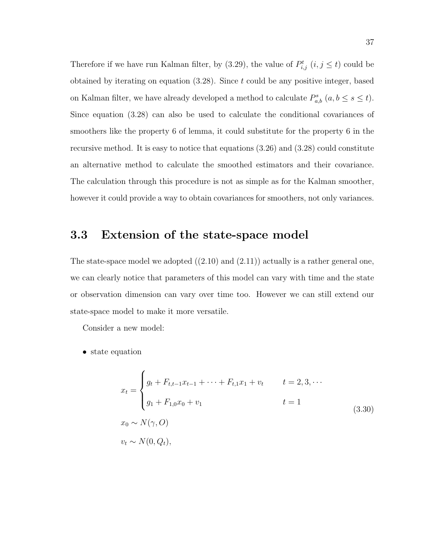Therefore if we have run Kalman filter, by (3.29), the value of  $P_{i,j}^{t}$   $(i, j \leq t)$  could be obtained by iterating on equation  $(3.28)$ . Since t could be any positive integer, based on Kalman filter, we have already developed a method to calculate  $P_{a,b}^s$   $(a, b \le s \le t)$ . Since equation (3.28) can also be used to calculate the conditional covariances of smoothers like the property 6 of lemma, it could substitute for the property 6 in the recursive method. It is easy to notice that equations (3.26) and (3.28) could constitute an alternative method to calculate the smoothed estimators and their covariance. The calculation through this procedure is not as simple as for the Kalman smoother, however it could provide a way to obtain covariances for smoothers, not only variances.

### 3.3 Extension of the state-space model

The state-space model we adopted  $((2.10)$  and  $(2.11))$  actually is a rather general one, we can clearly notice that parameters of this model can vary with time and the state or observation dimension can vary over time too. However we can still extend our state-space model to make it more versatile.

Consider a new model:

• state equation

$$
x_{t} = \begin{cases} g_{t} + F_{t,t-1}x_{t-1} + \dots + F_{t,1}x_{1} + v_{t} & t = 2, 3, \dots \\ g_{1} + F_{1,0}x_{0} + v_{1} & t = 1 \end{cases}
$$
  
\n
$$
x_{0} \sim N(\gamma, O)
$$
  
\n
$$
v_{t} \sim N(0, Q_{t}),
$$
  
\n(3.30)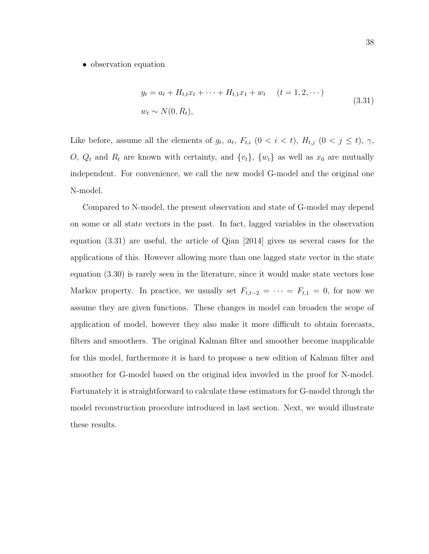#### • observation equation

$$
y_t = a_t + H_{t,t}x_t + \dots + H_{t,1}x_1 + w_t \quad (t = 1, 2, \dots)
$$
  

$$
w_t \sim N(0, R_t), \tag{3.31}
$$

Like before, assume all the elements of  $g_t$ ,  $a_t$ ,  $F_{t,i}$   $(0 \lt i \lt t)$ ,  $H_{t,j}$   $(0 \lt j \le t)$ ,  $\gamma$ , O,  $Q_t$  and  $R_t$  are known with certainty, and  $\{v_t\}$ ,  $\{w_t\}$  as well as  $x_0$  are mutually independent. For convenience, we call the new model G-model and the original one N-model.

Compared to N-model, the present observation and state of G-model may depend on some or all state vectors in the past. In fact, lagged variables in the observation equation (3.31) are useful, the article of Qian [2014] gives us several cases for the applications of this. However allowing more than one lagged state vector in the state equation (3.30) is rarely seen in the literature, since it would make state vectors lose Markov property. In practice, we usually set  $F_{t,t-2} = \cdots = F_{t,1} = 0$ , for now we assume they are given functions. These changes in model can broaden the scope of application of model, however they also make it more difficult to obtain forecasts, filters and smoothers. The original Kalman filter and smoother become inapplicable for this model, furthermore it is hard to propose a new edition of Kalman filter and smoother for G-model based on the original idea invovled in the proof for N-model. Fortunately it is straightforward to calculate these estimators for G-model through the model reconstruction procedure introduced in last section. Next, we would illustrate these results.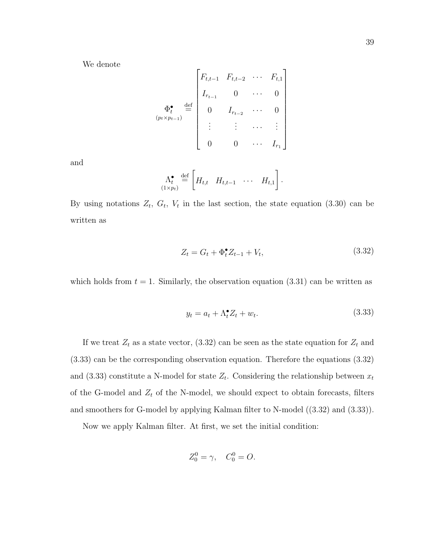We denote

$$
\Phi_t^{\bullet} \stackrel{\text{def}}{=} \begin{bmatrix} F_{t,t-1} & F_{t,t-2} & \cdots & F_{t,1} \\ I_{r_{t-1}} & 0 & \cdots & 0 \\ 0 & I_{r_{t-2}} & \cdots & 0 \\ \vdots & \vdots & \cdots & \vdots \\ 0 & 0 & \cdots & I_{r_1} \end{bmatrix}
$$

and

$$
\Lambda_t^{\bullet} \stackrel{\text{def}}{=} \left[ H_{t,t} \quad H_{t,t-1} \quad \cdots \quad H_{t,1} \right].
$$

By using notations  $Z_t$ ,  $G_t$ ,  $V_t$  in the last section, the state equation (3.30) can be written as

$$
Z_t = G_t + \Phi_t^{\bullet} Z_{t-1} + V_t, \qquad (3.32)
$$

which holds from  $t = 1$ . Similarly, the observation equation (3.31) can be written as

$$
y_t = a_t + \Lambda_t^{\bullet} Z_t + w_t. \tag{3.33}
$$

If we treat  $Z_t$  as a state vector, (3.32) can be seen as the state equation for  $Z_t$  and (3.33) can be the corresponding observation equation. Therefore the equations (3.32) and (3.33) constitute a N-model for state  $Z_t$ . Considering the relationship between  $x_t$ of the G-model and  $Z_t$  of the N-model, we should expect to obtain forecasts, filters and smoothers for G-model by applying Kalman filter to N-model ((3.32) and (3.33)).

Now we apply Kalman filter. At first, we set the initial condition:

$$
Z_0^0 = \gamma, \quad C_0^0 = O.
$$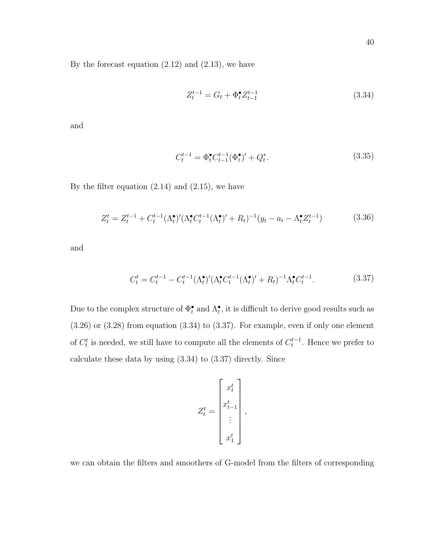By the forecast equation  $(2.12)$  and  $(2.13)$ , we have

$$
Z_t^{t-1} = G_t + \Phi_t^{\bullet} Z_{t-1}^{t-1}
$$
\n(3.34)

and

$$
C_t^{t-1} = \Phi_t^{\bullet} C_{t-1}^{t-1} (\Phi_t^{\bullet})' + Q_t^*.
$$
\n(3.35)

By the filter equation  $(2.14)$  and  $(2.15)$ , we have

$$
Z_t^t = Z_t^{t-1} + C_t^{t-1} (\Lambda_t^{\bullet})' (\Lambda_t^{\bullet} C_t^{t-1} (\Lambda_t^{\bullet})' + R_t)^{-1} (y_t - a_t - \Lambda_t^{\bullet} Z_t^{t-1})
$$
(3.36)

and

$$
C_t^t = C_t^{t-1} - C_t^{t-1} (\Lambda_t^{\bullet})' (\Lambda_t^{\bullet} C_t^{t-1} (\Lambda_t^{\bullet})' + R_t)^{-1} \Lambda_t^{\bullet} C_t^{t-1}.
$$
 (3.37)

Due to the complex structure of  $\Phi_t^{\bullet}$  and  $\Lambda_t^{\bullet}$ , it is difficult to derive good results such as  $(3.26)$  or  $(3.28)$  from equation  $(3.34)$  to  $(3.37)$ . For example, even if only one element of  $C_t^t$  is needed, we still have to compute all the elements of  $C_t^{t-1}$ . Hence we prefer to calculate these data by using (3.34) to (3.37) directly. Since

$$
Z_t^t = \begin{bmatrix} x_t^t \\ x_{t-1}^t \\ \vdots \\ x_1^t \end{bmatrix},
$$

we can obtain the filters and smoothers of G-model from the filters of corresponding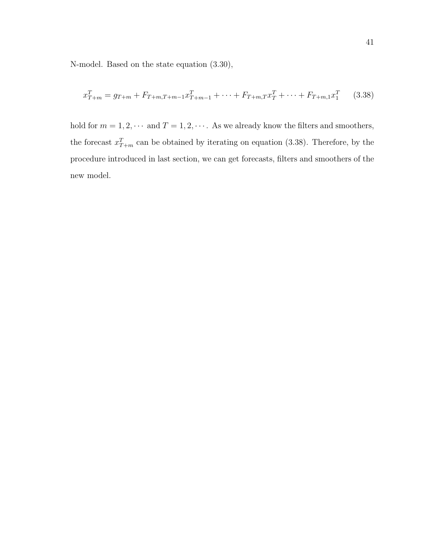N-model. Based on the state equation (3.30),

$$
x_{T+m}^T = g_{T+m} + F_{T+m,T+m-1}x_{T+m-1}^T + \dots + F_{T+m,T}x_T^T + \dots + F_{T+m,1}x_1^T
$$
 (3.38)

hold for  $m = 1, 2, \cdots$  and  $T = 1, 2, \cdots$ . As we already know the filters and smoothers, the forecast  $x_{T+m}^T$  can be obtained by iterating on equation (3.38). Therefore, by the procedure introduced in last section, we can get forecasts, filters and smoothers of the new model.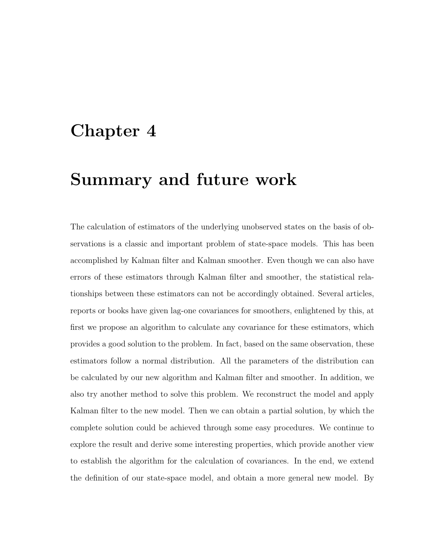## Chapter 4

## Summary and future work

The calculation of estimators of the underlying unobserved states on the basis of observations is a classic and important problem of state-space models. This has been accomplished by Kalman filter and Kalman smoother. Even though we can also have errors of these estimators through Kalman filter and smoother, the statistical relationships between these estimators can not be accordingly obtained. Several articles, reports or books have given lag-one covariances for smoothers, enlightened by this, at first we propose an algorithm to calculate any covariance for these estimators, which provides a good solution to the problem. In fact, based on the same observation, these estimators follow a normal distribution. All the parameters of the distribution can be calculated by our new algorithm and Kalman filter and smoother. In addition, we also try another method to solve this problem. We reconstruct the model and apply Kalman filter to the new model. Then we can obtain a partial solution, by which the complete solution could be achieved through some easy procedures. We continue to explore the result and derive some interesting properties, which provide another view to establish the algorithm for the calculation of covariances. In the end, we extend the definition of our state-space model, and obtain a more general new model. By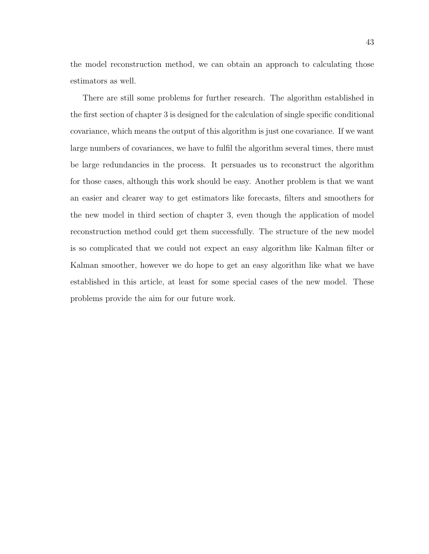the model reconstruction method, we can obtain an approach to calculating those estimators as well.

There are still some problems for further research. The algorithm established in the first section of chapter 3 is designed for the calculation of single specific conditional covariance, which means the output of this algorithm is just one covariance. If we want large numbers of covariances, we have to fulfil the algorithm several times, there must be large redundancies in the process. It persuades us to reconstruct the algorithm for those cases, although this work should be easy. Another problem is that we want an easier and clearer way to get estimators like forecasts, filters and smoothers for the new model in third section of chapter 3, even though the application of model reconstruction method could get them successfully. The structure of the new model is so complicated that we could not expect an easy algorithm like Kalman filter or Kalman smoother, however we do hope to get an easy algorithm like what we have established in this article, at least for some special cases of the new model. These problems provide the aim for our future work.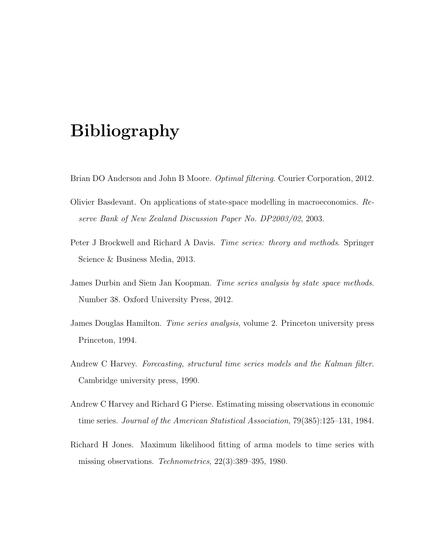# Bibliography

- Brian DO Anderson and John B Moore. Optimal filtering. Courier Corporation, 2012.
- Olivier Basdevant. On applications of state-space modelling in macroeconomics. Reserve Bank of New Zealand Discussion Paper No. DP2003/02, 2003.
- Peter J Brockwell and Richard A Davis. Time series: theory and methods. Springer Science & Business Media, 2013.
- James Durbin and Siem Jan Koopman. Time series analysis by state space methods. Number 38. Oxford University Press, 2012.
- James Douglas Hamilton. Time series analysis, volume 2. Princeton university press Princeton, 1994.
- Andrew C Harvey. Forecasting, structural time series models and the Kalman filter. Cambridge university press, 1990.
- Andrew C Harvey and Richard G Pierse. Estimating missing observations in economic time series. Journal of the American Statistical Association, 79(385):125–131, 1984.
- Richard H Jones. Maximum likelihood fitting of arma models to time series with missing observations. Technometrics, 22(3):389–395, 1980.